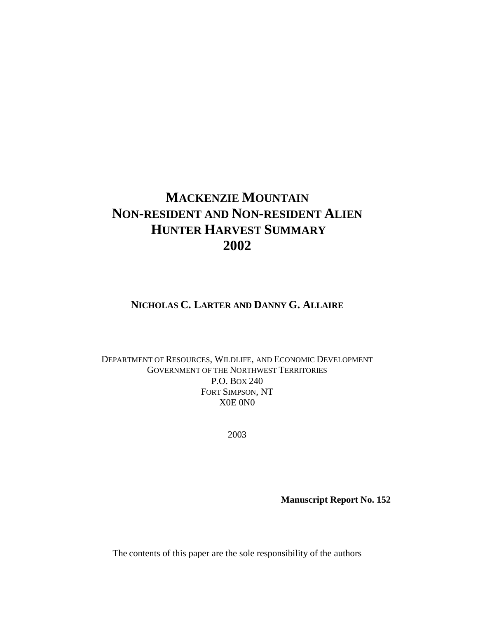# **MACKENZIE MOUNTAIN NON-RESIDENT AND NON-RESIDENT ALIEN HUNTER HARVEST SUMMARY 2002**

# **NICHOLAS C. LARTER AND DANNY G. ALLAIRE**

### DEPARTMENT OF RESOURCES, WILDLIFE, AND ECONOMIC DEVELOPMENT GOVERNMENT OF THE NORTHWEST TERRITORIES P.O. BOX 240 FORT SIMPSON, NT X0E 0N0

2003

**Manuscript Report No. 152** 

The contents of this paper are the sole responsibility of the authors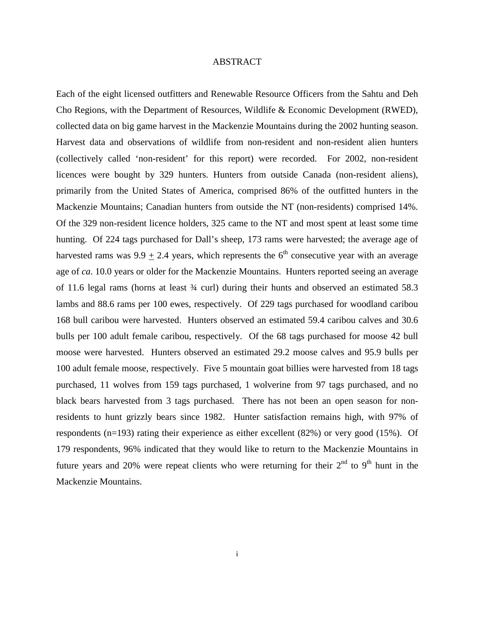#### ABSTRACT

Each of the eight licensed outfitters and Renewable Resource Officers from the Sahtu and Deh Cho Regions, with the Department of Resources, Wildlife & Economic Development (RWED), collected data on big game harvest in the Mackenzie Mountains during the 2002 hunting season. Harvest data and observations of wildlife from non-resident and non-resident alien hunters (collectively called 'non-resident' for this report) were recorded. For 2002, non-resident licences were bought by 329 hunters. Hunters from outside Canada (non-resident aliens), primarily from the United States of America, comprised 86% of the outfitted hunters in the Mackenzie Mountains; Canadian hunters from outside the NT (non-residents) comprised 14%. Of the 329 non-resident licence holders, 325 came to the NT and most spent at least some time hunting. Of 224 tags purchased for Dall's sheep, 173 rams were harvested; the average age of harvested rams was 9.9  $\pm$  2.4 years, which represents the 6<sup>th</sup> consecutive year with an average age of *ca*. 10.0 years or older for the Mackenzie Mountains. Hunters reported seeing an average of 11.6 legal rams (horns at least ¾ curl) during their hunts and observed an estimated 58.3 lambs and 88.6 rams per 100 ewes, respectively. Of 229 tags purchased for woodland caribou 168 bull caribou were harvested. Hunters observed an estimated 59.4 caribou calves and 30.6 bulls per 100 adult female caribou, respectively. Of the 68 tags purchased for moose 42 bull moose were harvested. Hunters observed an estimated 29.2 moose calves and 95.9 bulls per 100 adult female moose, respectively. Five 5 mountain goat billies were harvested from 18 tags purchased, 11 wolves from 159 tags purchased, 1 wolverine from 97 tags purchased, and no black bears harvested from 3 tags purchased. There has not been an open season for nonresidents to hunt grizzly bears since 1982. Hunter satisfaction remains high, with 97% of respondents (n=193) rating their experience as either excellent (82%) or very good (15%). Of 179 respondents, 96% indicated that they would like to return to the Mackenzie Mountains in future years and 20% were repeat clients who were returning for their  $2<sup>nd</sup>$  to  $9<sup>th</sup>$  hunt in the Mackenzie Mountains.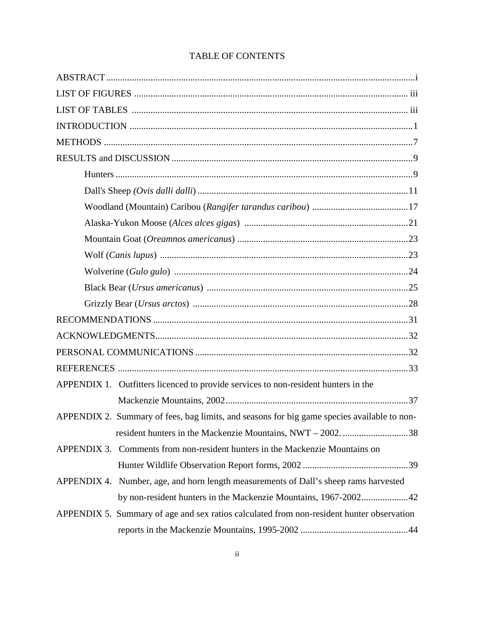| APPENDIX 1. Outfitters licenced to provide services to non-resident hunters in the          |
|---------------------------------------------------------------------------------------------|
|                                                                                             |
| APPENDIX 2. Summary of fees, bag limits, and seasons for big game species available to non- |
|                                                                                             |
| APPENDIX 3. Comments from non-resident hunters in the Mackenzie Mountains on                |
|                                                                                             |
| APPENDIX 4. Number, age, and horn length measurements of Dall's sheep rams harvested        |
| by non-resident hunters in the Mackenzie Mountains, 1967-200242                             |
| APPENDIX 5. Summary of age and sex ratios calculated from non-resident hunter observation   |
|                                                                                             |

# TABLE OF CONTENTS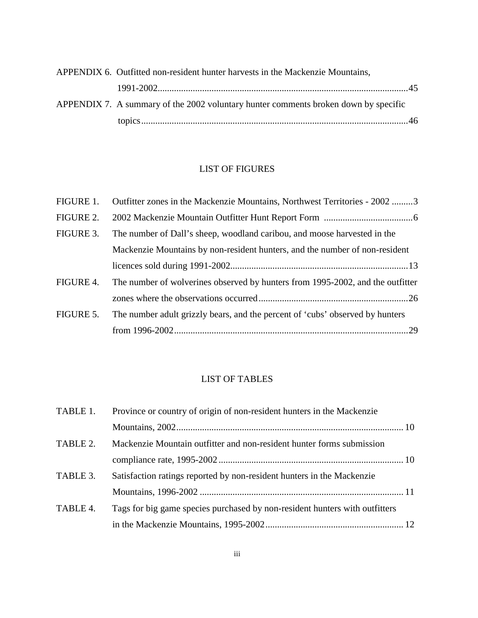| APPENDIX 6. Outfitted non-resident hunter harvests in the Mackenzie Mountains,      |  |
|-------------------------------------------------------------------------------------|--|
|                                                                                     |  |
| APPENDIX 7. A summary of the 2002 voluntary hunter comments broken down by specific |  |
|                                                                                     |  |

# LIST OF FIGURES

| FIGURE 1. | Outfitter zones in the Mackenzie Mountains, Northwest Territories - 2002 3     |
|-----------|--------------------------------------------------------------------------------|
| FIGURE 2. |                                                                                |
| FIGURE 3. | The number of Dall's sheep, woodland caribou, and moose harvested in the       |
|           | Mackenzie Mountains by non-resident hunters, and the number of non-resident    |
|           |                                                                                |
| FIGURE 4. | The number of wolverines observed by hunters from 1995-2002, and the outfitter |
|           |                                                                                |
| FIGURE 5. | The number adult grizzly bears, and the percent of 'cubs' observed by hunters  |
|           |                                                                                |
|           |                                                                                |

# LIST OF TABLES

| TABLE 1. | Province or country of origin of non-resident hunters in the Mackenzie      |  |
|----------|-----------------------------------------------------------------------------|--|
|          |                                                                             |  |
| TABLE 2. | Mackenzie Mountain outfitter and non-resident hunter forms submission       |  |
|          |                                                                             |  |
| TABLE 3. | Satisfaction ratings reported by non-resident hunters in the Mackenzie      |  |
|          |                                                                             |  |
| TABLE 4. | Tags for big game species purchased by non-resident hunters with outfitters |  |
|          |                                                                             |  |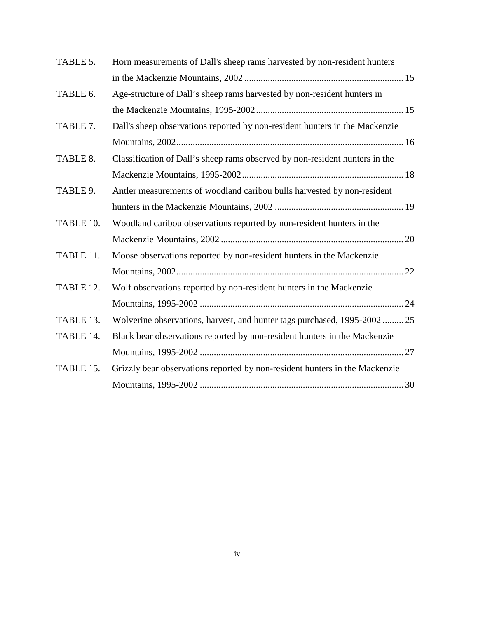| TABLE 5.  | Horn measurements of Dall's sheep rams harvested by non-resident hunters    |  |
|-----------|-----------------------------------------------------------------------------|--|
|           |                                                                             |  |
| TABLE 6.  | Age-structure of Dall's sheep rams harvested by non-resident hunters in     |  |
|           |                                                                             |  |
| TABLE 7.  | Dall's sheep observations reported by non-resident hunters in the Mackenzie |  |
|           |                                                                             |  |
| TABLE 8.  | Classification of Dall's sheep rams observed by non-resident hunters in the |  |
|           |                                                                             |  |
| TABLE 9.  | Antler measurements of woodland caribou bulls harvested by non-resident     |  |
|           |                                                                             |  |
| TABLE 10. | Woodland caribou observations reported by non-resident hunters in the       |  |
|           |                                                                             |  |
| TABLE 11. | Moose observations reported by non-resident hunters in the Mackenzie        |  |
|           |                                                                             |  |
| TABLE 12. | Wolf observations reported by non-resident hunters in the Mackenzie         |  |
|           |                                                                             |  |
| TABLE 13. | Wolverine observations, harvest, and hunter tags purchased, 1995-2002  25   |  |
| TABLE 14. | Black bear observations reported by non-resident hunters in the Mackenzie   |  |
|           |                                                                             |  |
| TABLE 15. | Grizzly bear observations reported by non-resident hunters in the Mackenzie |  |
|           |                                                                             |  |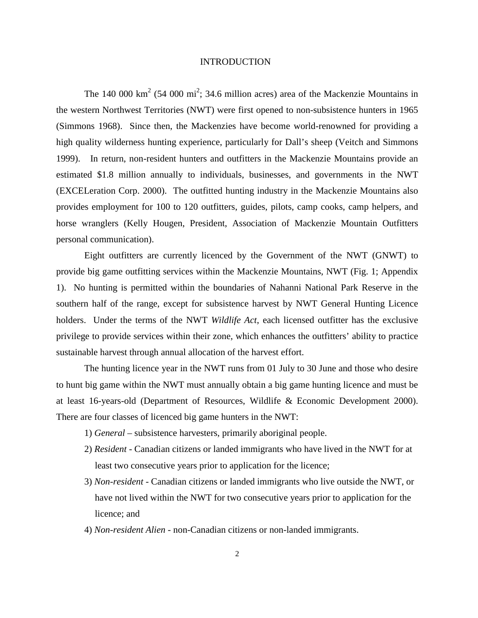#### INTRODUCTION

The 140 000  $\text{km}^2$  (54 000 mi<sup>2</sup>; 34.6 million acres) area of the Mackenzie Mountains in the western Northwest Territories (NWT) were first opened to non-subsistence hunters in 1965 (Simmons 1968). Since then, the Mackenzies have become world-renowned for providing a high quality wilderness hunting experience, particularly for Dall's sheep (Veitch and Simmons 1999). In return, non-resident hunters and outfitters in the Mackenzie Mountains provide an estimated \$1.8 million annually to individuals, businesses, and governments in the NWT (EXCELeration Corp. 2000). The outfitted hunting industry in the Mackenzie Mountains also provides employment for 100 to 120 outfitters, guides, pilots, camp cooks, camp helpers, and horse wranglers (Kelly Hougen, President, Association of Mackenzie Mountain Outfitters personal communication).

Eight outfitters are currently licenced by the Government of the NWT (GNWT) to provide big game outfitting services within the Mackenzie Mountains, NWT (Fig. 1; Appendix 1). No hunting is permitted within the boundaries of Nahanni National Park Reserve in the southern half of the range, except for subsistence harvest by NWT General Hunting Licence holders. Under the terms of the NWT *Wildlife Act*, each licensed outfitter has the exclusive privilege to provide services within their zone, which enhances the outfitters' ability to practice sustainable harvest through annual allocation of the harvest effort.

The hunting licence year in the NWT runs from 01 July to 30 June and those who desire to hunt big game within the NWT must annually obtain a big game hunting licence and must be at least 16-years-old (Department of Resources, Wildlife & Economic Development 2000). There are four classes of licenced big game hunters in the NWT:

- 1) *General* subsistence harvesters, primarily aboriginal people.
- 2) *Resident -* Canadian citizens or landed immigrants who have lived in the NWT for at least two consecutive years prior to application for the licence;
- 3) *Non-resident -* Canadian citizens or landed immigrants who live outside the NWT, or have not lived within the NWT for two consecutive years prior to application for the licence; and
- 4) *Non-resident Alien -* non-Canadian citizens or non-landed immigrants.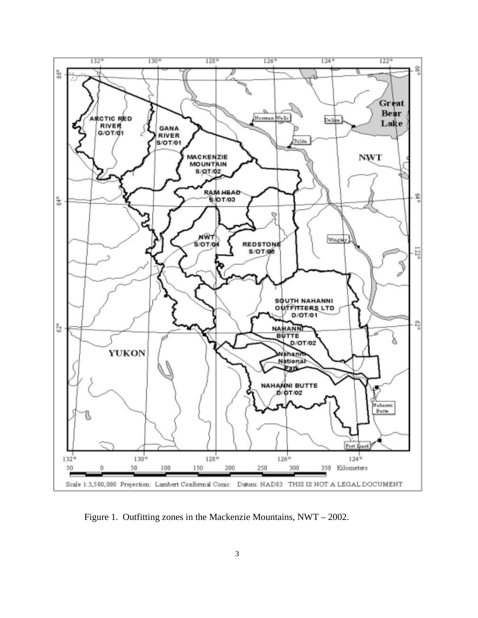

Figure 1. Outfitting zones in the Mackenzie Mountains, NWT – 2002.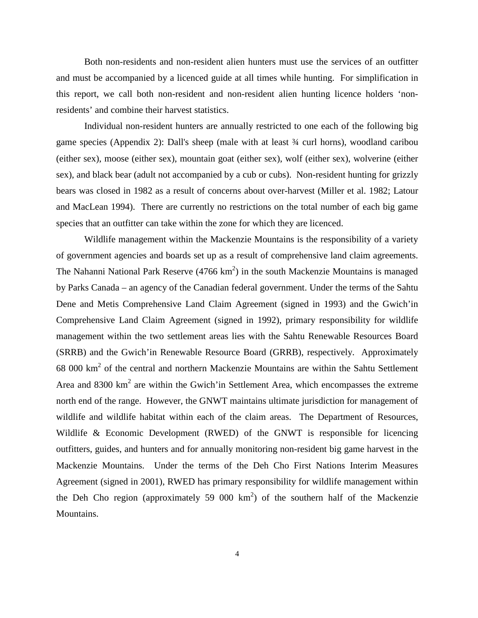Both non-residents and non-resident alien hunters must use the services of an outfitter and must be accompanied by a licenced guide at all times while hunting. For simplification in this report, we call both non-resident and non-resident alien hunting licence holders 'nonresidents' and combine their harvest statistics.

 Individual non-resident hunters are annually restricted to one each of the following big game species (Appendix 2): Dall's sheep (male with at least ¾ curl horns), woodland caribou (either sex), moose (either sex), mountain goat (either sex), wolf (either sex), wolverine (either sex), and black bear (adult not accompanied by a cub or cubs). Non-resident hunting for grizzly bears was closed in 1982 as a result of concerns about over-harvest (Miller et al. 1982; Latour and MacLean 1994). There are currently no restrictions on the total number of each big game species that an outfitter can take within the zone for which they are licenced.

 Wildlife management within the Mackenzie Mountains is the responsibility of a variety of government agencies and boards set up as a result of comprehensive land claim agreements. The Nahanni National Park Reserve  $(4766 \text{ km}^2)$  in the south Mackenzie Mountains is managed by Parks Canada – an agency of the Canadian federal government. Under the terms of the Sahtu Dene and Metis Comprehensive Land Claim Agreement (signed in 1993) and the Gwich'in Comprehensive Land Claim Agreement (signed in 1992), primary responsibility for wildlife management within the two settlement areas lies with the Sahtu Renewable Resources Board (SRRB) and the Gwich'in Renewable Resource Board (GRRB), respectively. Approximately  $68000 \text{ km}^2$  of the central and northern Mackenzie Mountains are within the Sahtu Settlement Area and  $8300 \text{ km}^2$  are within the Gwich'in Settlement Area, which encompasses the extreme north end of the range. However, the GNWT maintains ultimate jurisdiction for management of wildlife and wildlife habitat within each of the claim areas. The Department of Resources, Wildlife & Economic Development (RWED) of the GNWT is responsible for licencing outfitters, guides, and hunters and for annually monitoring non-resident big game harvest in the Mackenzie Mountains. Under the terms of the Deh Cho First Nations Interim Measures Agreement (signed in 2001), RWED has primary responsibility for wildlife management within the Deh Cho region (approximately 59 000  $km<sup>2</sup>$ ) of the southern half of the Mackenzie Mountains.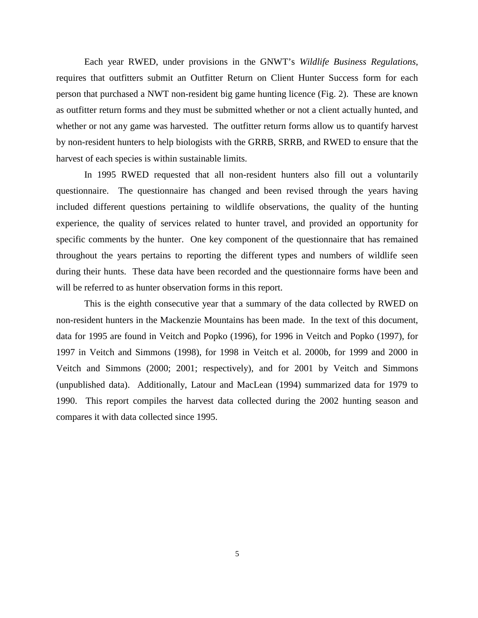Each year RWED, under provisions in the GNWT's *Wildlife Business Regulations*, requires that outfitters submit an Outfitter Return on Client Hunter Success form for each person that purchased a NWT non-resident big game hunting licence (Fig. 2). These are known as outfitter return forms and they must be submitted whether or not a client actually hunted, and whether or not any game was harvested. The outfitter return forms allow us to quantify harvest by non-resident hunters to help biologists with the GRRB, SRRB, and RWED to ensure that the harvest of each species is within sustainable limits.

In 1995 RWED requested that all non-resident hunters also fill out a voluntarily questionnaire. The questionnaire has changed and been revised through the years having included different questions pertaining to wildlife observations, the quality of the hunting experience, the quality of services related to hunter travel, and provided an opportunity for specific comments by the hunter. One key component of the questionnaire that has remained throughout the years pertains to reporting the different types and numbers of wildlife seen during their hunts. These data have been recorded and the questionnaire forms have been and will be referred to as hunter observation forms in this report.

This is the eighth consecutive year that a summary of the data collected by RWED on non-resident hunters in the Mackenzie Mountains has been made. In the text of this document, data for 1995 are found in Veitch and Popko (1996), for 1996 in Veitch and Popko (1997), for 1997 in Veitch and Simmons (1998), for 1998 in Veitch et al. 2000b, for 1999 and 2000 in Veitch and Simmons (2000; 2001; respectively), and for 2001 by Veitch and Simmons (unpublished data). Additionally, Latour and MacLean (1994) summarized data for 1979 to 1990. This report compiles the harvest data collected during the 2002 hunting season and compares it with data collected since 1995.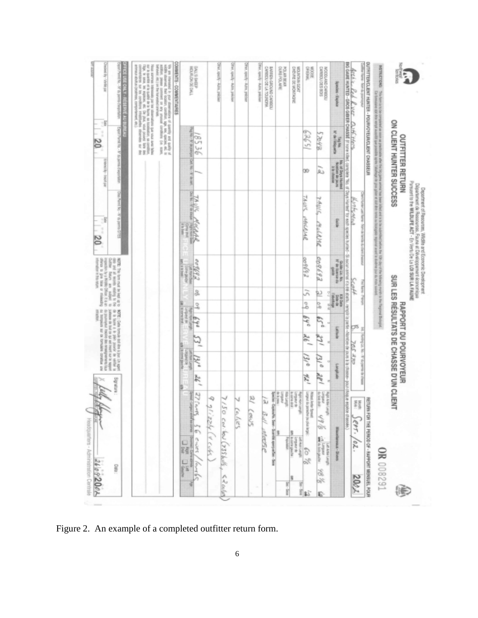| QUITETERICLENT HURTER - POUR/OYEU/NCLENT CHASSEUR<br>MSTRUCTIONS:<br>ŢГ,<br><b>THIS - ROLE II</b><br>š                                                                                                                                                                                                                                                                                                                                                                                                                                                                                                                         | ON CLIENT HUNTER SUCCESS<br>OUTFITTER RETURN<br>paul in                                                                                                                                                                                                                                                                                                                     | Co-formation of the winds a lower last produce against the produced and show a state of the state of the state of the state of the state of the state of the state of the state of the state of the state of the state of the<br>particular at it is the belief used and amount and political adults<br>Parson to the WLDLIFE ACT - En Verto De Lo LOI SUR LA FAUNE<br>Department of Resources, Wildlife and Economic Development<br>Départment de Resources, Faune et Développement économique<br>g<br>Forder Last Rame - Norn og fam | 10th day of the following month to the Fieggeral Belogian<br>Tell Kent - Pet                             | SUR LES RÉSULTATS DE CHASSE D'UN CLIENT<br>RAPPORT DU POURVOYEUR<br>X                                                                       | Furthyp (i.e. - N - Supporting the channel | RETURN FOR THE PERIOD OF - RAPPORT MENSUEL POUR<br>翡<br>$3$ ept. /oz.                                                            |
|--------------------------------------------------------------------------------------------------------------------------------------------------------------------------------------------------------------------------------------------------------------------------------------------------------------------------------------------------------------------------------------------------------------------------------------------------------------------------------------------------------------------------------------------------------------------------------------------------------------------------------|-----------------------------------------------------------------------------------------------------------------------------------------------------------------------------------------------------------------------------------------------------------------------------------------------------------------------------------------------------------------------------|----------------------------------------------------------------------------------------------------------------------------------------------------------------------------------------------------------------------------------------------------------------------------------------------------------------------------------------------------------------------------------------------------------------------------------------------------------------------------------------------------------------------------------------|----------------------------------------------------------------------------------------------------------|---------------------------------------------------------------------------------------------------------------------------------------------|--------------------------------------------|----------------------------------------------------------------------------------------------------------------------------------|
| E<br>River                                                                                                                                                                                                                                                                                                                                                                                                                                                                                                                                                                                                                     |                                                                                                                                                                                                                                                                                                                                                                             | Kurkarea                                                                                                                                                                                                                                                                                                                                                                                                                                                                                                                               | <b>Hak</b>                                                                                               | ರಾ                                                                                                                                          | <b>SOS 377</b>                             |                                                                                                                                  |
|                                                                                                                                                                                                                                                                                                                                                                                                                                                                                                                                                                                                                                |                                                                                                                                                                                                                                                                                                                                                                             | Archive, Ked. K. Ver. Durff Herse, marking and the World Archiver to was species buries - Sizes an interaction and the second and the second and the second and the second and the second and the second and the second and co                                                                                                                                                                                                                                                                                                         |                                                                                                          | rengiti is partiv «Nontino de jous à la chosoe» pour chaque espèce chessée.)                                                                |                                            |                                                                                                                                  |
| <b>Rolected - English</b>                                                                                                                                                                                                                                                                                                                                                                                                                                                                                                                                                                                                      | <b>COMPANY</b><br>$\begin{tabular}{ c c c } \hline \multicolumn{3}{ c }{30000} & 0.14 \\ \multicolumn{3}{ c }{30000} & 0.00000 \\ \multicolumn{3}{ c }{30000} & 0.00000 \\ \multicolumn{3}{ c }{30000} & 0.00000 \\ \multicolumn{3}{ c }{30000} & 0.00000 \\ \multicolumn{3}{ c }{30000} & 0.00000 \\ \multicolumn{3}{ c }{30000} & 0.000000 \\ \multicolumn{3}{ c }{30000$ | g                                                                                                                                                                                                                                                                                                                                                                                                                                                                                                                                      | Fig. 80/80/19 02<br>Guide Lic No.<br>l<br>deaway.<br><b><i><i><b>POID</b></i></i></b>                    | <b>Rivers</b>                                                                                                                               | earcabon's                                 |                                                                                                                                  |
| CARDIO LOS BOS<br>NOODHYS-DWYDDOON                                                                                                                                                                                                                                                                                                                                                                                                                                                                                                                                                                                             | 2995<br>ú.                                                                                                                                                                                                                                                                                                                                                                  | こうバルー<br>RoldMR                                                                                                                                                                                                                                                                                                                                                                                                                                                                                                                        | 009683<br>包                                                                                              | e,<br>q,<br>m                                                                                                                               | a i e<br>del                               | <b>Single Book</b><br>Tungkal<br>soften peace rather                                                                             |
| September<br>38000                                                                                                                                                                                                                                                                                                                                                                                                                                                                                                                                                                                                             | 15229<br>90                                                                                                                                                                                                                                                                                                                                                                 | 7/6/4/<br><b>SACIONAL</b>                                                                                                                                                                                                                                                                                                                                                                                                                                                                                                              | 69690<br>51                                                                                              | 99<br>$64^{\circ}$<br>₹é 「                                                                                                                  | 13/0<br>ne.                                | : (ethe in panels (is plus in the<br><b>Nobel John Spreet</b>                                                                    |
| DISPUTE OIL MONTHGRE<br><b>LYON NYUNTOW</b>                                                                                                                                                                                                                                                                                                                                                                                                                                                                                                                                                                                    |                                                                                                                                                                                                                                                                                                                                                                             |                                                                                                                                                                                                                                                                                                                                                                                                                                                                                                                                        |                                                                                                          |                                                                                                                                             |                                            | <b>POR HURSEY</b><br>Rept Hon Library                                                                                            |
| POLIVI BEAR                                                                                                                                                                                                                                                                                                                                                                                                                                                                                                                                                                                                                    |                                                                                                                                                                                                                                                                                                                                                                             |                                                                                                                                                                                                                                                                                                                                                                                                                                                                                                                                        |                                                                                                          |                                                                                                                                             |                                            | Linguar<br>20 Ispani - Caphodha, Seen-Sunthi speryodhar - Sem<br>Sponim - Caphodha, Seen-Sunthi speryodhar - Sem<br><b>Right</b> |
| <b>THERE IS CONDITIONS</b>                                                                                                                                                                                                                                                                                                                                                                                                                                                                                                                                                                                                     |                                                                                                                                                                                                                                                                                                                                                                             |                                                                                                                                                                                                                                                                                                                                                                                                                                                                                                                                        |                                                                                                          |                                                                                                                                             |                                            | ù                                                                                                                                |
| <b>RAIL specty - AURA, pakoes</b>                                                                                                                                                                                                                                                                                                                                                                                                                                                                                                                                                                                              |                                                                                                                                                                                                                                                                                                                                                                             |                                                                                                                                                                                                                                                                                                                                                                                                                                                                                                                                        |                                                                                                          |                                                                                                                                             |                                            | g                                                                                                                                |
| Ret, spech - Adre, prices                                                                                                                                                                                                                                                                                                                                                                                                                                                                                                                                                                                                      |                                                                                                                                                                                                                                                                                                                                                                             |                                                                                                                                                                                                                                                                                                                                                                                                                                                                                                                                        |                                                                                                          |                                                                                                                                             |                                            | ν<br>Celies<br>Cenus                                                                                                             |
| <b>STAI, specify - AUDI, policies</b>                                                                                                                                                                                                                                                                                                                                                                                                                                                                                                                                                                                          |                                                                                                                                                                                                                                                                                                                                                                             |                                                                                                                                                                                                                                                                                                                                                                                                                                                                                                                                        |                                                                                                          |                                                                                                                                             |                                            | $7/50$ can be (735 kels) $59$ called                                                                                             |
| <b>Ret, spechy-Rutra, policies</b>                                                                                                                                                                                                                                                                                                                                                                                                                                                                                                                                                                                             |                                                                                                                                                                                                                                                                                                                                                                             |                                                                                                                                                                                                                                                                                                                                                                                                                                                                                                                                        |                                                                                                          |                                                                                                                                             |                                            | -9<br>ķΔ<br>rizzly (V cubs                                                                                                       |
| DALL'S BHEEP<br>DALL'S BHEEP                                                                                                                                                                                                                                                                                                                                                                                                                                                                                                                                                                                                   | 돌<br>9536<br>k<br>downed at<br>8                                                                                                                                                                                                                                                                                                                                            | TA WS<br><b>PAIRWO</b>                                                                                                                                                                                                                                                                                                                                                                                                                                                                                                                 | 23300<br>g,                                                                                              | 3<br><b>Refit Hom Line</b><br>ÉY                                                                                                            | 2é                                         | 27 (4)<br>E Ceuer / Archives                                                                                                     |
| COMBENTS - COMMENTAIRES                                                                                                                                                                                                                                                                                                                                                                                                                                                                                                                                                                                                        |                                                                                                                                                                                                                                                                                                                                                                             | Ē                                                                                                                                                                                                                                                                                                                                                                                                                                                                                                                                      | <b>BRANCH</b><br>root +in)                                                                               | on and in<br><b>P-40 B-40</b>                                                                                                               | <b>ROUNDED</b>                             |                                                                                                                                  |
| between the last handwide and<br>We are interested in your streetwitting of quantity and quality at least at the content states of<br>Tape, in masses, assigning and the phase, and phases are assigning to the particular field and the second control of the $\Delta\mu$ phases are completed and the control of the control of the control of the control of the cont<br>ļ<br>stimaux abutus (depthos), comportament, etc.).<br>ur is quantly at la qualit de la fiume, as localization, so combine.<br>from acres in this and out the phasmatics can use that target<br>l<br>comment on any ansural condition (i.e. scale, |                                                                                                                                                                                                                                                                                                                                                                             |                                                                                                                                                                                                                                                                                                                                                                                                                                                                                                                                        |                                                                                                          |                                                                                                                                             |                                            |                                                                                                                                  |
| FFRS USE ONLY - F<br>ë<br>and in Acc<br><b>DRIVERS</b>                                                                                                                                                                                                                                                                                                                                                                                                                                                                                                                                                                         | ï<br>Pyrold Ha. - M. to: permit of supprison                                                                                                                                                                                                                                                                                                                                | g<br>Peace for - AF on peace                                                                                                                                                                                                                                                                                                                                                                                                                                                                                                           | of the age of running age of<br>All it (state states of the one)<br>All the party and was the states     | MOTE: Cath formula and the a lipsc Un apport<br>All is in lister a in pipe, power in welter in                                              |                                            | unun.bg                                                                                                                          |
| and input / Analysis<br>7Ř                                                                                                                                                                                                                                                                                                                                                                                                                                                                                                                                                                                                     | t<br>$^{20}$<br>esteed by - historical                                                                                                                                                                                                                                                                                                                                      |                                                                                                                                                                                                                                                                                                                                                                                                                                                                                                                                        | often is give this or miskeling<br>information in the rear or<br>www.ho.hy a Middy Office:<br><b>SER</b> | not regates natures to an tension on<br>every financial service of the state of<br>inkels<br>Lateras on but on qui est inset sur le sepport |                                            |                                                                                                                                  |
|                                                                                                                                                                                                                                                                                                                                                                                                                                                                                                                                                                                                                                |                                                                                                                                                                                                                                                                                                                                                                             |                                                                                                                                                                                                                                                                                                                                                                                                                                                                                                                                        |                                                                                                          |                                                                                                                                             |                                            |                                                                                                                                  |

Figure 2. An example of a completed outfitter return form.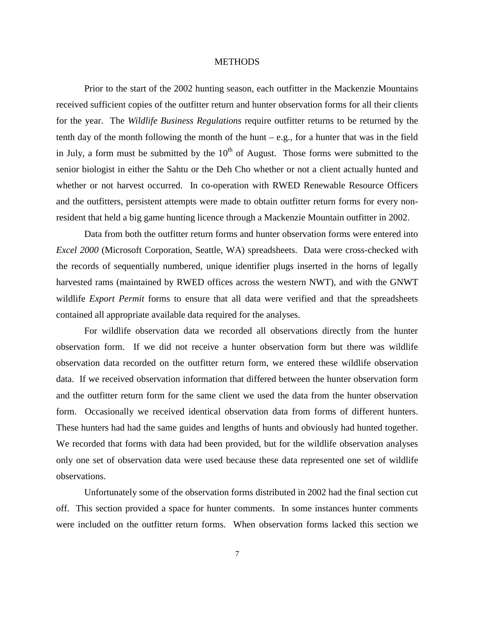#### **METHODS**

Prior to the start of the 2002 hunting season, each outfitter in the Mackenzie Mountains received sufficient copies of the outfitter return and hunter observation forms for all their clients for the year. The *Wildlife Business Regulations* require outfitter returns to be returned by the tenth day of the month following the month of the hunt – e.g., for a hunter that was in the field in July, a form must be submitted by the  $10<sup>th</sup>$  of August. Those forms were submitted to the senior biologist in either the Sahtu or the Deh Cho whether or not a client actually hunted and whether or not harvest occurred. In co-operation with RWED Renewable Resource Officers and the outfitters, persistent attempts were made to obtain outfitter return forms for every nonresident that held a big game hunting licence through a Mackenzie Mountain outfitter in 2002.

Data from both the outfitter return forms and hunter observation forms were entered into *Excel 2000* (Microsoft Corporation, Seattle, WA) spreadsheets. Data were cross-checked with the records of sequentially numbered, unique identifier plugs inserted in the horns of legally harvested rams (maintained by RWED offices across the western NWT), and with the GNWT wildlife *Export Permit* forms to ensure that all data were verified and that the spreadsheets contained all appropriate available data required for the analyses.

For wildlife observation data we recorded all observations directly from the hunter observation form. If we did not receive a hunter observation form but there was wildlife observation data recorded on the outfitter return form, we entered these wildlife observation data. If we received observation information that differed between the hunter observation form and the outfitter return form for the same client we used the data from the hunter observation form. Occasionally we received identical observation data from forms of different hunters. These hunters had had the same guides and lengths of hunts and obviously had hunted together. We recorded that forms with data had been provided, but for the wildlife observation analyses only one set of observation data were used because these data represented one set of wildlife observations.

Unfortunately some of the observation forms distributed in 2002 had the final section cut off. This section provided a space for hunter comments. In some instances hunter comments were included on the outfitter return forms. When observation forms lacked this section we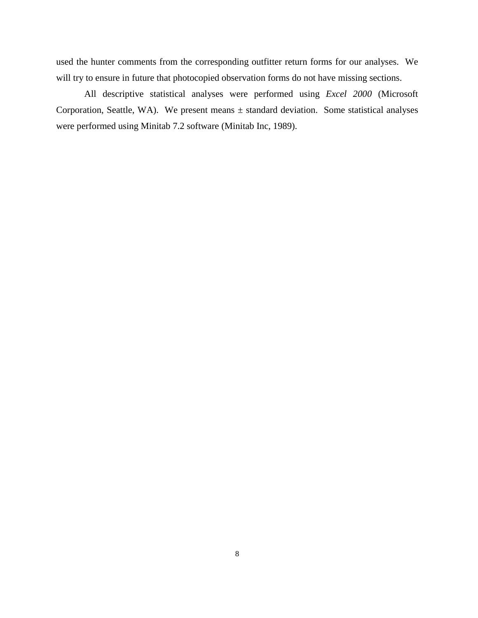used the hunter comments from the corresponding outfitter return forms for our analyses. We will try to ensure in future that photocopied observation forms do not have missing sections.

All descriptive statistical analyses were performed using *Excel 2000* (Microsoft Corporation, Seattle, WA). We present means  $\pm$  standard deviation. Some statistical analyses were performed using Minitab 7.2 software (Minitab Inc, 1989).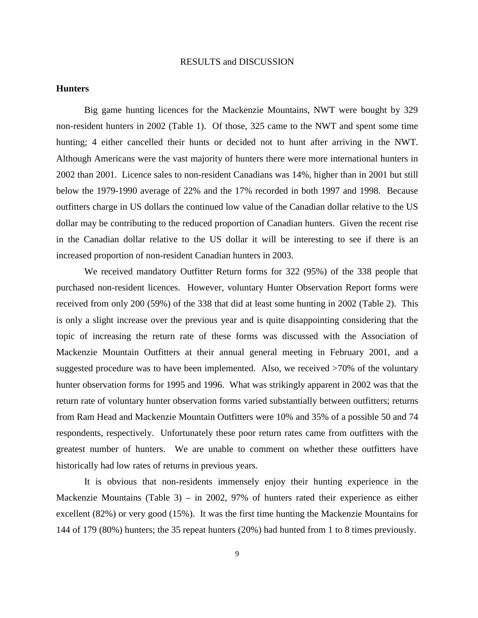#### RESULTS and DISCUSSION

#### **Hunters**

Big game hunting licences for the Mackenzie Mountains, NWT were bought by 329 non-resident hunters in 2002 (Table 1). Of those, 325 came to the NWT and spent some time hunting; 4 either cancelled their hunts or decided not to hunt after arriving in the NWT. Although Americans were the vast majority of hunters there were more international hunters in 2002 than 2001. Licence sales to non-resident Canadians was 14%, higher than in 2001 but still below the 1979-1990 average of 22% and the 17% recorded in both 1997 and 1998. Because outfitters charge in US dollars the continued low value of the Canadian dollar relative to the US dollar may be contributing to the reduced proportion of Canadian hunters. Given the recent rise in the Canadian dollar relative to the US dollar it will be interesting to see if there is an increased proportion of non-resident Canadian hunters in 2003.

We received mandatory Outfitter Return forms for 322 (95%) of the 338 people that purchased non-resident licences. However, voluntary Hunter Observation Report forms were received from only 200 (59%) of the 338 that did at least some hunting in 2002 (Table 2). This is only a slight increase over the previous year and is quite disappointing considering that the topic of increasing the return rate of these forms was discussed with the Association of Mackenzie Mountain Outfitters at their annual general meeting in February 2001, and a suggested procedure was to have been implemented. Also, we received >70% of the voluntary hunter observation forms for 1995 and 1996. What was strikingly apparent in 2002 was that the return rate of voluntary hunter observation forms varied substantially between outfitters; returns from Ram Head and Mackenzie Mountain Outfitters were 10% and 35% of a possible 50 and 74 respondents, respectively. Unfortunately these poor return rates came from outfitters with the greatest number of hunters. We are unable to comment on whether these outfitters have historically had low rates of returns in previous years.

 It is obvious that non-residents immensely enjoy their hunting experience in the Mackenzie Mountains (Table 3) – in 2002, 97% of hunters rated their experience as either excellent (82%) or very good (15%). It was the first time hunting the Mackenzie Mountains for 144 of 179 (80%) hunters; the 35 repeat hunters (20%) had hunted from 1 to 8 times previously.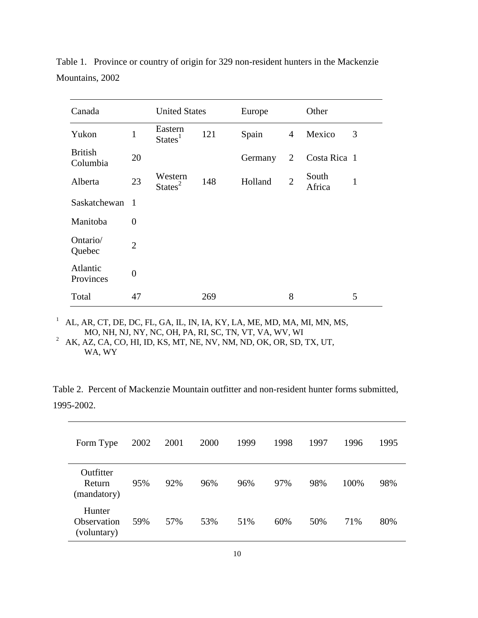| Canada                     |                | <b>United States</b>           |     | Europe  |                | Other           |              |
|----------------------------|----------------|--------------------------------|-----|---------|----------------|-----------------|--------------|
| Yukon                      | 1              | Eastern<br>States <sup>1</sup> | 121 | Spain   | $\overline{4}$ | Mexico          | 3            |
| <b>British</b><br>Columbia | 20             |                                |     | Germany | $\overline{2}$ | Costa Rica 1    |              |
| Alberta                    | 23             | Western<br>States <sup>2</sup> | 148 | Holland | $\overline{2}$ | South<br>Africa | $\mathbf{1}$ |
| Saskatchewan 1             |                |                                |     |         |                |                 |              |
| Manitoba                   | $\overline{0}$ |                                |     |         |                |                 |              |
| Ontario/<br>Quebec         | $\overline{2}$ |                                |     |         |                |                 |              |
| Atlantic<br>Provinces      | $\overline{0}$ |                                |     |         |                |                 |              |
| Total                      | 47             |                                | 269 |         | 8              |                 | 5            |

Table 1. Province or country of origin for 329 non-resident hunters in the Mackenzie Mountains, 2002

1 AL, AR, CT, DE, DC, FL, GA, IL, IN, IA, KY, LA, ME, MD, MA, MI, MN, MS, MO, NH, NJ, NY, NC, OH, PA, RI, SC, TN, VT, VA, WV, WI

 $^2$  AK, AZ, CA, CO, HI, ID, KS, MT, NE, NV, NM, ND, OK, OR, SD, TX, UT, WA, WY

Table 2. Percent of Mackenzie Mountain outfitter and non-resident hunter forms submitted, 1995-2002.

| Form Type                            | 2002 | 2001 | 2000 | 1999 | 1998 | 1997 | 1996 | 1995 |
|--------------------------------------|------|------|------|------|------|------|------|------|
| Outfitter<br>Return<br>(mandatory)   | 95%  | 92%  | 96%  | 96%  | 97%  | 98%  | 100% | 98%  |
| Hunter<br>Observation<br>(voluntary) | 59%  | 57%  | 53%  | 51%  | 60%  | 50%  | 71%  | 80%  |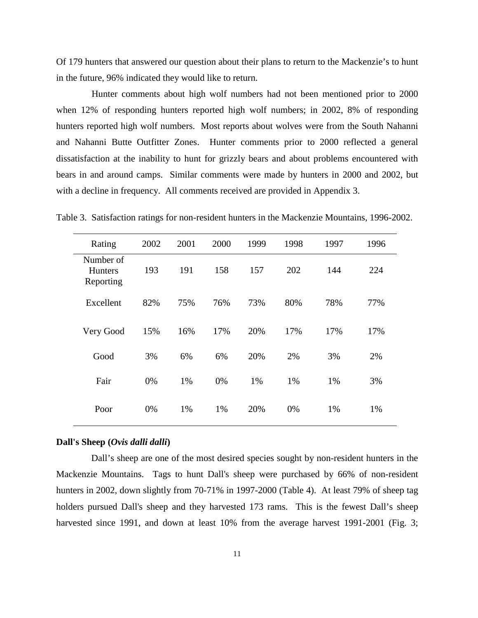Of 179 hunters that answered our question about their plans to return to the Mackenzie's to hunt in the future, 96% indicated they would like to return.

Hunter comments about high wolf numbers had not been mentioned prior to 2000 when 12% of responding hunters reported high wolf numbers; in 2002, 8% of responding hunters reported high wolf numbers. Most reports about wolves were from the South Nahanni and Nahanni Butte Outfitter Zones. Hunter comments prior to 2000 reflected a general dissatisfaction at the inability to hunt for grizzly bears and about problems encountered with bears in and around camps. Similar comments were made by hunters in 2000 and 2002, but with a decline in frequency. All comments received are provided in Appendix 3.

| Rating                                   | 2002 | 2001 | 2000 | 1999 | 1998 | 1997 | 1996 |
|------------------------------------------|------|------|------|------|------|------|------|
| Number of<br><b>Hunters</b><br>Reporting | 193  | 191  | 158  | 157  | 202  | 144  | 224  |
| Excellent                                | 82%  | 75%  | 76%  | 73%  | 80%  | 78%  | 77%  |
| Very Good                                | 15%  | 16%  | 17%  | 20%  | 17%  | 17%  | 17%  |
| Good                                     | 3%   | 6%   | 6%   | 20%  | 2%   | 3%   | 2%   |
| Fair                                     | 0%   | 1%   | 0%   | 1%   | 1%   | 1%   | 3%   |
| Poor                                     | 0%   | 1%   | 1%   | 20%  | 0%   | 1%   | 1%   |

Table 3. Satisfaction ratings for non-resident hunters in the Mackenzie Mountains, 1996-2002.

#### **Dall's Sheep (***Ovis dalli dalli***)**

Dall's sheep are one of the most desired species sought by non-resident hunters in the Mackenzie Mountains. Tags to hunt Dall's sheep were purchased by 66% of non-resident hunters in 2002, down slightly from 70-71% in 1997-2000 (Table 4). At least 79% of sheep tag holders pursued Dall's sheep and they harvested 173 rams. This is the fewest Dall's sheep harvested since 1991, and down at least 10% from the average harvest 1991-2001 (Fig. 3;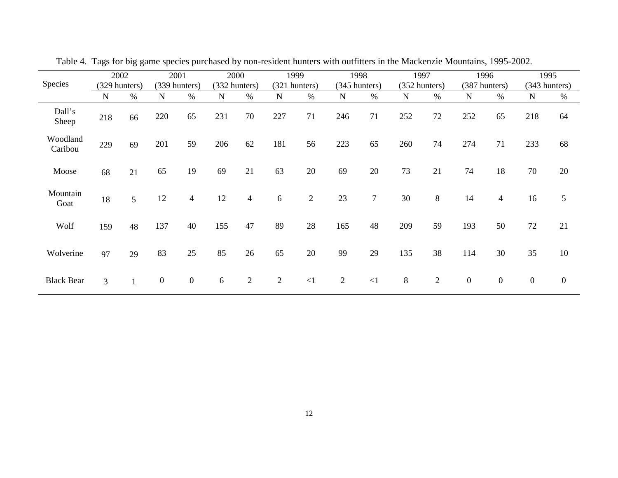|                     | 2002          |      | 2001             |                  | 2000          |                | 1999          |                | 1998           |          | 1997          |                | 1996             |                  | 1995             |                |
|---------------------|---------------|------|------------------|------------------|---------------|----------------|---------------|----------------|----------------|----------|---------------|----------------|------------------|------------------|------------------|----------------|
| Species             | (329 hunters) |      | (339 hunters)    |                  | (332 hunters) |                | (321 hunters) |                | (345 hunters)  |          | (352 hunters) |                | (387 hunters)    |                  | (343 hunters)    |                |
|                     | N             | $\%$ | N                | $\%$             | $\mathbf N$   | $\%$           | ${\bf N}$     | $\%$           | $\mathbf N$    | $\%$     | N             | $\%$           | N                | $\%$             | $\mathbf N$      | $\%$           |
| Dall's<br>Sheep     | 218           | 66   | 220              | 65               | 231           | 70             | 227           | 71             | 246            | 71       | 252           | 72             | 252              | 65               | 218              | 64             |
| Woodland<br>Caribou | 229           | 69   | 201              | 59               | 206           | 62             | 181           | 56             | 223            | 65       | 260           | 74             | 274              | 71               | 233              | 68             |
| Moose               | 68            | 21   | 65               | 19               | 69            | 21             | 63            | 20             | 69             | 20       | 73            | 21             | 74               | 18               | 70               | 20             |
| Mountain<br>Goat    | 18            | 5    | 12               | $\overline{4}$   | 12            | 4              | 6             | $\mathfrak{2}$ | 23             | $\tau$   | 30            | 8              | 14               | 4                | 16               | 5              |
| Wolf                | 159           | 48   | 137              | 40               | 155           | 47             | 89            | 28             | 165            | 48       | 209           | 59             | 193              | 50               | 72               | 21             |
| Wolverine           | 97            | 29   | 83               | 25               | 85            | 26             | 65            | 20             | 99             | 29       | 135           | 38             | 114              | 30               | 35               | 10             |
| <b>Black Bear</b>   | 3             |      | $\boldsymbol{0}$ | $\boldsymbol{0}$ | 6             | $\overline{2}$ | 2             | $\leq$ 1       | $\overline{2}$ | $\leq$ 1 | $\,8\,$       | $\overline{2}$ | $\boldsymbol{0}$ | $\boldsymbol{0}$ | $\boldsymbol{0}$ | $\overline{0}$ |

Table 4. Tags for big game species purchased by non-resident hunters with outfitters in the Mackenzie Mountains, 1995-2002.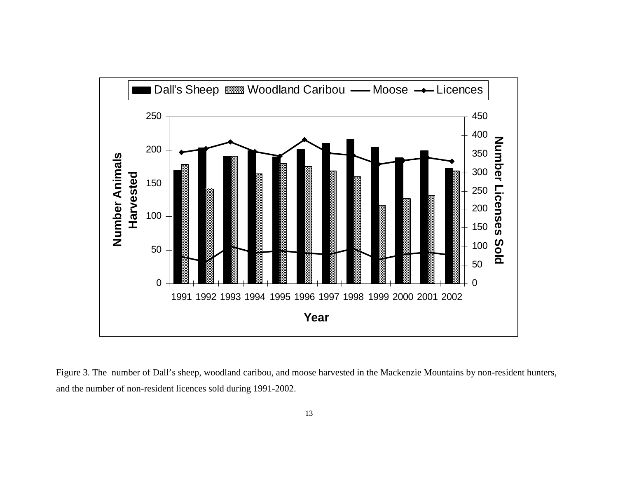

Figure 3. The number of Dall's sheep, woodland caribou, and moose harvested in the Mackenzie Mountains by non-resident hunters, and the number of non-resident licences sold during 1991-2002.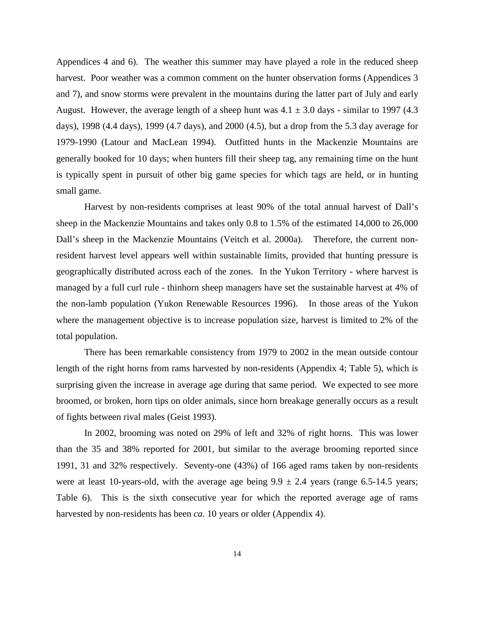Appendices 4 and 6). The weather this summer may have played a role in the reduced sheep harvest. Poor weather was a common comment on the hunter observation forms (Appendices 3 and 7), and snow storms were prevalent in the mountains during the latter part of July and early August. However, the average length of a sheep hunt was  $4.1 \pm 3.0$  days - similar to 1997 (4.3) days), 1998 (4.4 days), 1999 (4.7 days), and 2000 (4.5), but a drop from the 5.3 day average for 1979-1990 (Latour and MacLean 1994). Outfitted hunts in the Mackenzie Mountains are generally booked for 10 days; when hunters fill their sheep tag, any remaining time on the hunt is typically spent in pursuit of other big game species for which tags are held, or in hunting small game.

 Harvest by non-residents comprises at least 90% of the total annual harvest of Dall's sheep in the Mackenzie Mountains and takes only 0.8 to 1.5% of the estimated 14,000 to 26,000 Dall's sheep in the Mackenzie Mountains (Veitch et al. 2000a). Therefore, the current nonresident harvest level appears well within sustainable limits, provided that hunting pressure is geographically distributed across each of the zones. In the Yukon Territory - where harvest is managed by a full curl rule - thinhorn sheep managers have set the sustainable harvest at 4% of the non-lamb population (Yukon Renewable Resources 1996). In those areas of the Yukon where the management objective is to increase population size, harvest is limited to 2% of the total population.

 There has been remarkable consistency from 1979 to 2002 in the mean outside contour length of the right horns from rams harvested by non-residents (Appendix 4; Table 5), which is surprising given the increase in average age during that same period. We expected to see more broomed, or broken, horn tips on older animals, since horn breakage generally occurs as a result of fights between rival males (Geist 1993).

 In 2002, brooming was noted on 29% of left and 32% of right horns. This was lower than the 35 and 38% reported for 2001, but similar to the average brooming reported since 1991, 31 and 32% respectively. Seventy-one (43%) of 166 aged rams taken by non-residents were at least 10-years-old, with the average age being  $9.9 \pm 2.4$  years (range 6.5-14.5 years; Table 6). This is the sixth consecutive year for which the reported average age of rams harvested by non-residents has been *ca*. 10 years or older (Appendix 4).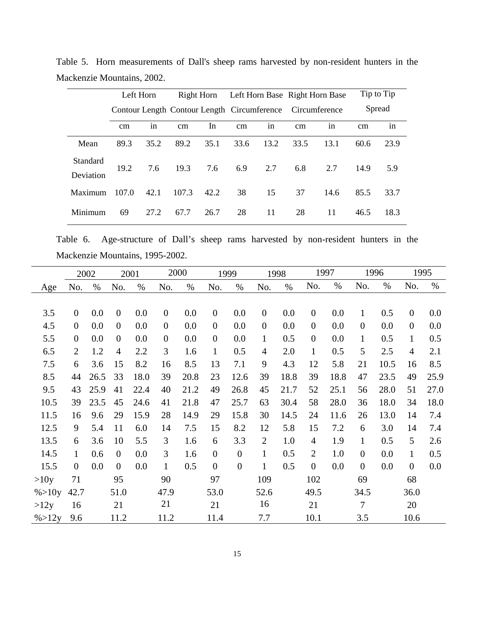|                       | Left Horn |               |       |      |      |               |                                                           | Right Horn Left Horn Base Right Horn Base |      | Tip to Tip |
|-----------------------|-----------|---------------|-------|------|------|---------------|-----------------------------------------------------------|-------------------------------------------|------|------------|
|                       |           |               |       |      |      |               | Contour Length Contour Length Circumference Circumference |                                           |      | Spread     |
|                       | cm        | $\cdot$<br>in | cm    | In   | cm   | $\cdot$<br>in | cm                                                        | 1n                                        | cm   | in         |
| Mean                  | 89.3      | 35.2          | 89.2  | 35.1 | 33.6 | 13.2          | 33.5                                                      | 13.1                                      | 60.6 | 23.9       |
| Standard<br>Deviation | 19.2      | 7.6           | 19.3  | 7.6  | 6.9  | 2.7           | 6.8                                                       | 2.7                                       | 14.9 | 5.9        |
| Maximum               | 107.0     | 42.1          | 107.3 | 42.2 | 38   | 15            | 37                                                        | 14.6                                      | 85.5 | 33.7       |
| Minimum               | 69        | 27.2          | 67.7  | 26.7 | 28   | 11            | 28                                                        | 11                                        | 46.5 | 18.3       |

Table 5. Horn measurements of Dall's sheep rams harvested by non-resident hunters in the Mackenzie Mountains, 2002.

Table 6. Age-structure of Dall's sheep rams harvested by non-resident hunters in the Mackenzie Mountains, 1995-2002.

|                   |                  | 2002 |                | 2001 | 2000             |      |                | 1999             |                  | 1998 |                | 1997 |                  | 1996 | 1995             |      |
|-------------------|------------------|------|----------------|------|------------------|------|----------------|------------------|------------------|------|----------------|------|------------------|------|------------------|------|
| Age               | No.              | $\%$ | No.            | $\%$ | No.              | $\%$ | No.            | $\%$             | No.              | $\%$ | No.            | %    | No.              | %    | No.              | $\%$ |
|                   |                  |      |                |      |                  |      |                |                  |                  |      |                |      |                  |      |                  |      |
| 3.5               | $\boldsymbol{0}$ | 0.0  | $\overline{0}$ | 0.0  | $\boldsymbol{0}$ | 0.0  | $\overline{0}$ | 0.0              | $\boldsymbol{0}$ | 0.0  | $\overline{0}$ | 0.0  | $\mathbf{1}$     | 0.5  | $\boldsymbol{0}$ | 0.0  |
| 4.5               | $\overline{0}$   | 0.0  | $\overline{0}$ | 0.0  | $\boldsymbol{0}$ | 0.0  | $\mathbf{0}$   | 0.0              | $\boldsymbol{0}$ | 0.0  | $\overline{0}$ | 0.0  | $\boldsymbol{0}$ | 0.0  | $\overline{0}$   | 0.0  |
| 5.5               | $\overline{0}$   | 0.0  | $\overline{0}$ | 0.0  | $\boldsymbol{0}$ | 0.0  | $\overline{0}$ | 0.0              | $\mathbf{1}$     | 0.5  | $\overline{0}$ | 0.0  | $\mathbf{1}$     | 0.5  | $\mathbf{1}$     | 0.5  |
| 6.5               | $\overline{2}$   | 1.2  | $\overline{4}$ | 2.2  | 3                | 1.6  | $\mathbf{1}$   | 0.5              | $\overline{4}$   | 2.0  | $\mathbf{1}$   | 0.5  | 5                | 2.5  | $\overline{4}$   | 2.1  |
| 7.5               | 6                | 3.6  | 15             | 8.2  | 16               | 8.5  | 13             | 7.1              | 9                | 4.3  | 12             | 5.8  | 21               | 10.5 | 16               | 8.5  |
| 8.5               | 44               | 26.5 | 33             | 18.0 | 39               | 20.8 | 23             | 12.6             | 39               | 18.8 | 39             | 18.8 | 47               | 23.5 | 49               | 25.9 |
| 9.5               | 43               | 25.9 | 41             | 22.4 | 40               | 21.2 | 49             | 26.8             | 45               | 21.7 | 52             | 25.1 | 56               | 28.0 | 51               | 27.0 |
| 10.5              | 39               | 23.5 | 45             | 24.6 | 41               | 21.8 | 47             | 25.7             | 63               | 30.4 | 58             | 28.0 | 36               | 18.0 | 34               | 18.0 |
| 11.5              | 16               | 9.6  | 29             | 15.9 | 28               | 14.9 | 29             | 15.8             | 30               | 14.5 | 24             | 11.6 | 26               | 13.0 | 14               | 7.4  |
| 12.5              | 9                | 5.4  | 11             | 6.0  | 14               | 7.5  | 15             | 8.2              | 12               | 5.8  | 15             | 7.2  | 6                | 3.0  | 14               | 7.4  |
| 13.5              | 6                | 3.6  | 10             | 5.5  | 3                | 1.6  | 6              | 3.3              | $\overline{2}$   | 1.0  | $\overline{4}$ | 1.9  | $\mathbf{1}$     | 0.5  | $5\overline{)}$  | 2.6  |
| 14.5              | $\mathbf{1}$     | 0.6  | $\overline{0}$ | 0.0  | 3                | 1.6  | $\mathbf{0}$   | $\boldsymbol{0}$ | $\mathbf{1}$     | 0.5  | 2              | 1.0  | $\boldsymbol{0}$ | 0.0  | $\mathbf{1}$     | 0.5  |
| 15.5              | $\overline{0}$   | 0.0  | $\overline{0}$ | 0.0  | $\mathbf{1}$     | 0.5  | $\overline{0}$ | $\boldsymbol{0}$ | $\mathbf{1}$     | 0.5  | $\overline{0}$ | 0.0  | $\overline{0}$   | 0.0  | $\overline{0}$   | 0.0  |
| >10y              | 71               |      | 95             |      | 90               |      | 97             |                  | 109              |      | 102            |      | 69               |      | 68               |      |
| $\% > 10y$        | 42.7             |      | 51.0           |      | 47.9             |      | 53.0           |                  | 52.6             |      | 49.5           |      | 34.5             |      | 36.0             |      |
| >12y              | 16               |      | 21             |      | 21               |      | 21             |                  | 16               |      | 21             |      | 7                |      | 20               |      |
| $\frac{\%}{12}$ y | 9.6              |      | 11.2           |      | 11.2             |      | 11.4           |                  | 7.7              |      | 10.1           |      | 3.5              |      | 10.6             |      |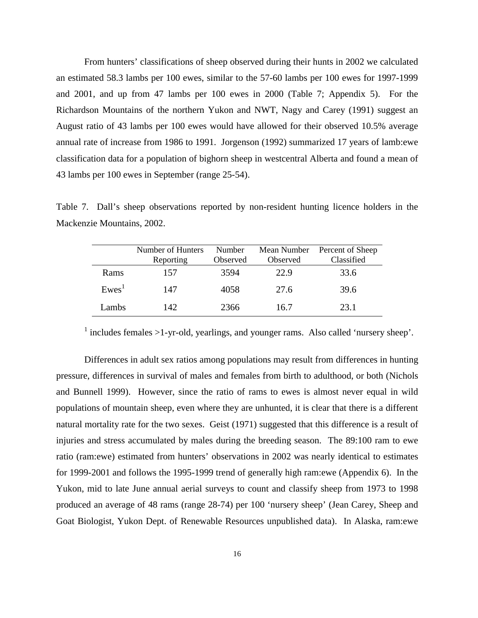From hunters' classifications of sheep observed during their hunts in 2002 we calculated an estimated 58.3 lambs per 100 ewes, similar to the 57-60 lambs per 100 ewes for 1997-1999 and 2001, and up from 47 lambs per 100 ewes in 2000 (Table 7; Appendix 5). For the Richardson Mountains of the northern Yukon and NWT, Nagy and Carey (1991) suggest an August ratio of 43 lambs per 100 ewes would have allowed for their observed 10.5% average annual rate of increase from 1986 to 1991. Jorgenson (1992) summarized 17 years of lamb:ewe classification data for a population of bighorn sheep in westcentral Alberta and found a mean of 43 lambs per 100 ewes in September (range 25-54).

Table 7. Dall's sheep observations reported by non-resident hunting licence holders in the Mackenzie Mountains, 2002.

|                   | Number of Hunters | Number   | Mean Number | Percent of Sheep |
|-------------------|-------------------|----------|-------------|------------------|
|                   | Reporting         | Observed | Observed    | Classified       |
| Rams              | 157               | 3594     | 22.9        | 33.6             |
| Ewes <sup>T</sup> | 147               | 4058     | 27.6        | 39.6             |
| Lambs             | 142               | 2366     | 16.7        | 23.1             |

 $<sup>1</sup>$  includes females >1-yr-old, yearlings, and younger rams. Also called 'nursery sheep'.</sup>

 Differences in adult sex ratios among populations may result from differences in hunting pressure, differences in survival of males and females from birth to adulthood, or both (Nichols and Bunnell 1999). However, since the ratio of rams to ewes is almost never equal in wild populations of mountain sheep, even where they are unhunted, it is clear that there is a different natural mortality rate for the two sexes. Geist (1971) suggested that this difference is a result of injuries and stress accumulated by males during the breeding season. The 89:100 ram to ewe ratio (ram:ewe) estimated from hunters' observations in 2002 was nearly identical to estimates for 1999-2001 and follows the 1995-1999 trend of generally high ram:ewe (Appendix 6). In the Yukon, mid to late June annual aerial surveys to count and classify sheep from 1973 to 1998 produced an average of 48 rams (range 28-74) per 100 'nursery sheep' (Jean Carey, Sheep and Goat Biologist, Yukon Dept. of Renewable Resources unpublished data). In Alaska, ram:ewe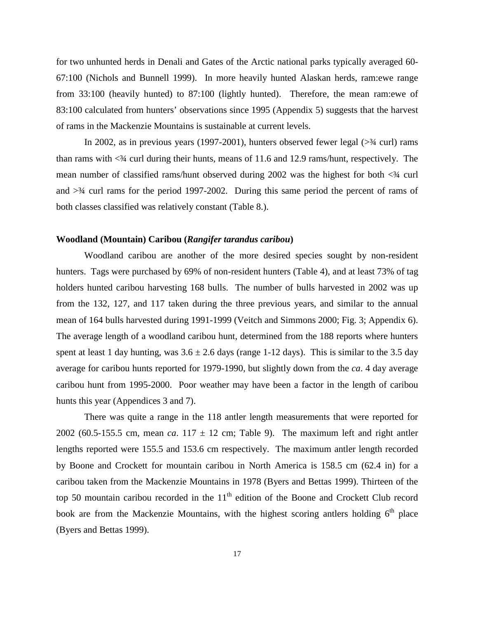for two unhunted herds in Denali and Gates of the Arctic national parks typically averaged 60- 67:100 (Nichols and Bunnell 1999). In more heavily hunted Alaskan herds, ram:ewe range from 33:100 (heavily hunted) to 87:100 (lightly hunted). Therefore, the mean ram:ewe of 83:100 calculated from hunters' observations since 1995 (Appendix 5) suggests that the harvest of rams in the Mackenzie Mountains is sustainable at current levels.

In 2002, as in previous years  $(1997-2001)$ , hunters observed fewer legal  $(>\frac{3}{4}$  curl) rams than rams with <¾ curl during their hunts, means of 11.6 and 12.9 rams/hunt, respectively. The mean number of classified rams/hunt observed during  $2002$  was the highest for both  $\langle 34 \text{ curl} \rangle$ and  $\geq$ <sup>3</sup>/4 curl rams for the period 1997-2002. During this same period the percent of rams of both classes classified was relatively constant (Table 8.).

#### **Woodland (Mountain) Caribou (***Rangifer tarandus caribou***)**

Woodland caribou are another of the more desired species sought by non-resident hunters. Tags were purchased by 69% of non-resident hunters (Table 4), and at least 73% of tag holders hunted caribou harvesting 168 bulls. The number of bulls harvested in 2002 was up from the 132, 127, and 117 taken during the three previous years, and similar to the annual mean of 164 bulls harvested during 1991-1999 (Veitch and Simmons 2000; Fig. 3; Appendix 6). The average length of a woodland caribou hunt, determined from the 188 reports where hunters spent at least 1 day hunting, was  $3.6 \pm 2.6$  days (range 1-12 days). This is similar to the 3.5 day average for caribou hunts reported for 1979-1990, but slightly down from the *ca*. 4 day average caribou hunt from 1995-2000. Poor weather may have been a factor in the length of caribou hunts this year (Appendices 3 and 7).

 There was quite a range in the 118 antler length measurements that were reported for 2002 (60.5-155.5 cm, mean *ca*. 117  $\pm$  12 cm; Table 9). The maximum left and right antler lengths reported were 155.5 and 153.6 cm respectively. The maximum antler length recorded by Boone and Crockett for mountain caribou in North America is 158.5 cm (62.4 in) for a caribou taken from the Mackenzie Mountains in 1978 (Byers and Bettas 1999). Thirteen of the top 50 mountain caribou recorded in the  $11<sup>th</sup>$  edition of the Boone and Crockett Club record book are from the Mackenzie Mountains, with the highest scoring antlers holding  $6<sup>th</sup>$  place (Byers and Bettas 1999).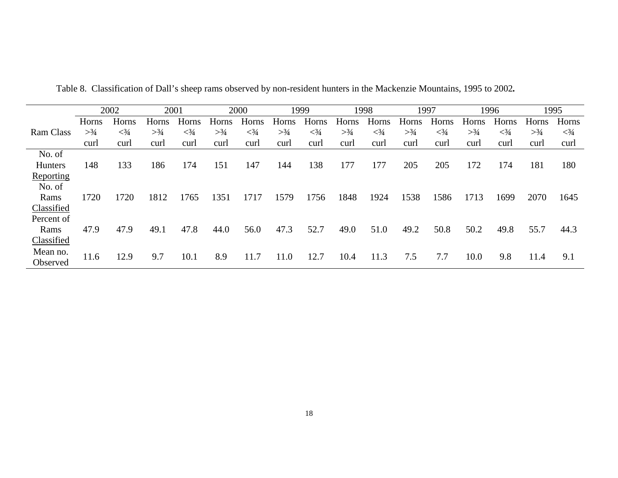|                  |       | 2002    | 2001  |       |       | 2000       |       | 1999       |       | 1998       | 1997  |              |       | 1996         |       | 1995       |
|------------------|-------|---------|-------|-------|-------|------------|-------|------------|-------|------------|-------|--------------|-------|--------------|-------|------------|
|                  | Horns | Horns   | Horns | Horns | Horns | Horns      | Horns | Horns      | Horns | Horns      | Horns | Horns        | Horns | Horns        | Horns | Horns      |
| <b>Ram Class</b> | >3/4  | $<^3/4$ | >3/4  | $3/4$ | >3/4  | $\leq 3/4$ | >3/4  | $\leq 3/4$ | >3/4  | $\leq 3/4$ | >3/4  | $<^{3}/_{4}$ | >3/4  | $<^{3}/_{4}$ | >3/4  | $\leq 3/4$ |
|                  | curl  | curl    | curl  | curl  | curl  | curl       | curl  | curl       | curl  | curl       | curl  | curl         | curl  | curl         | curl  | curl       |
| No. of           |       |         |       |       |       |            |       |            |       |            |       |              |       |              |       |            |
| <b>Hunters</b>   | 148   | 133     | 186   | 174   | 151   | 147        | 144   | 138        | 177   | 177        | 205   | 205          | 172   | 174          | 181   | 180        |
| Reporting        |       |         |       |       |       |            |       |            |       |            |       |              |       |              |       |            |
| No. of           |       |         |       |       |       |            |       |            |       |            |       |              |       |              |       |            |
| Rams             | 1720  | 1720    | 1812  | 1765  | 1351  | 1717       | 1579  | 1756       | 1848  | 1924       | 1538  | 1586         | 1713  | 1699         | 2070  | 1645       |
| Classified       |       |         |       |       |       |            |       |            |       |            |       |              |       |              |       |            |
| Percent of       |       |         |       |       |       |            |       |            |       |            |       |              |       |              |       |            |
| Rams             | 47.9  | 47.9    | 49.1  | 47.8  | 44.0  | 56.0       | 47.3  | 52.7       | 49.0  | 51.0       | 49.2  | 50.8         | 50.2  | 49.8         | 55.7  | 44.3       |
| Classified       |       |         |       |       |       |            |       |            |       |            |       |              |       |              |       |            |
| Mean no.         | 11.6  | 12.9    | 9.7   | 10.1  | 8.9   | 11.7       | 11.0  | 12.7       | 10.4  | 11.3       | 7.5   | 7.7          | 10.0  | 9.8          | 11.4  | 9.1        |
| Observed         |       |         |       |       |       |            |       |            |       |            |       |              |       |              |       |            |

Table 8. Classification of Dall's sheep rams observed by non-resident hunters in the Mackenzie Mountains, 1995 to 2002*.*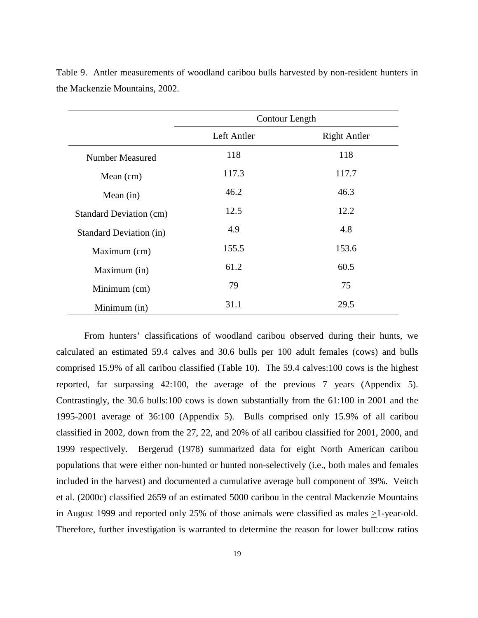|                                | Contour Length |                     |
|--------------------------------|----------------|---------------------|
|                                | Left Antler    | <b>Right Antler</b> |
| Number Measured                | 118            | 118                 |
| Mean (cm)                      | 117.3          | 117.7               |
| Mean $(in)$                    | 46.2           | 46.3                |
| Standard Deviation (cm)        | 12.5           | 12.2                |
| <b>Standard Deviation (in)</b> | 4.9            | 4.8                 |
| Maximum (cm)                   | 155.5          | 153.6               |
| Maximum (in)                   | 61.2           | 60.5                |
| Minimum (cm)                   | 79             | 75                  |
| Minimum (in)                   | 31.1           | 29.5                |

Table 9. Antler measurements of woodland caribou bulls harvested by non-resident hunters in the Mackenzie Mountains, 2002.

 From hunters' classifications of woodland caribou observed during their hunts, we calculated an estimated 59.4 calves and 30.6 bulls per 100 adult females (cows) and bulls comprised 15.9% of all caribou classified (Table 10). The 59.4 calves:100 cows is the highest reported, far surpassing 42:100, the average of the previous 7 years (Appendix 5). Contrastingly, the 30.6 bulls:100 cows is down substantially from the 61:100 in 2001 and the 1995-2001 average of 36:100 (Appendix 5). Bulls comprised only 15.9% of all caribou classified in 2002, down from the 27, 22, and 20% of all caribou classified for 2001, 2000, and 1999 respectively. Bergerud (1978) summarized data for eight North American caribou populations that were either non-hunted or hunted non-selectively (i.e., both males and females included in the harvest) and documented a cumulative average bull component of 39%. Veitch et al. (2000c) classified 2659 of an estimated 5000 caribou in the central Mackenzie Mountains in August 1999 and reported only 25% of those animals were classified as males  $\geq$ 1-year-old. Therefore, further investigation is warranted to determine the reason for lower bull:cow ratios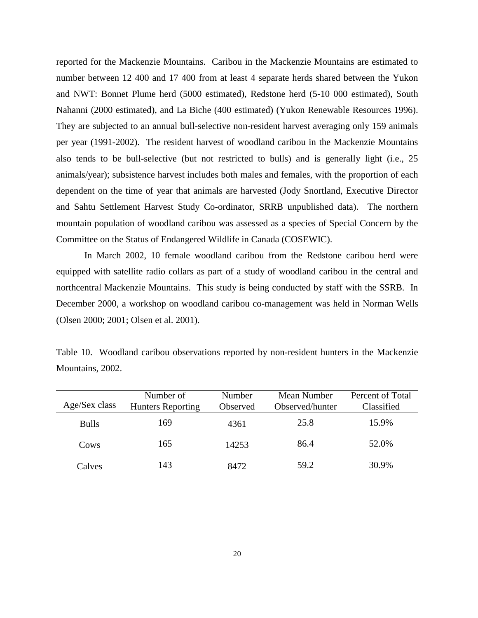reported for the Mackenzie Mountains. Caribou in the Mackenzie Mountains are estimated to number between 12 400 and 17 400 from at least 4 separate herds shared between the Yukon and NWT: Bonnet Plume herd (5000 estimated), Redstone herd (5-10 000 estimated), South Nahanni (2000 estimated), and La Biche (400 estimated) (Yukon Renewable Resources 1996). They are subjected to an annual bull-selective non-resident harvest averaging only 159 animals per year (1991-2002). The resident harvest of woodland caribou in the Mackenzie Mountains also tends to be bull-selective (but not restricted to bulls) and is generally light (i.e., 25 animals/year); subsistence harvest includes both males and females, with the proportion of each dependent on the time of year that animals are harvested (Jody Snortland, Executive Director and Sahtu Settlement Harvest Study Co-ordinator, SRRB unpublished data). The northern mountain population of woodland caribou was assessed as a species of Special Concern by the Committee on the Status of Endangered Wildlife in Canada (COSEWIC).

 In March 2002, 10 female woodland caribou from the Redstone caribou herd were equipped with satellite radio collars as part of a study of woodland caribou in the central and northcentral Mackenzie Mountains. This study is being conducted by staff with the SSRB. In December 2000, a workshop on woodland caribou co-management was held in Norman Wells (Olsen 2000; 2001; Olsen et al. 2001).

|                  | Table 10. Woodland caribou observations reported by non-resident hunters in the Mackenzie |  |  |  |  |  |
|------------------|-------------------------------------------------------------------------------------------|--|--|--|--|--|
| Mountains, 2002. |                                                                                           |  |  |  |  |  |

| Age/Sex class | Number of<br><b>Hunters Reporting</b> | Number<br>Observed | Mean Number<br>Observed/hunter | Percent of Total<br>Classified |
|---------------|---------------------------------------|--------------------|--------------------------------|--------------------------------|
| <b>Bulls</b>  | 169                                   | 4361               | 25.8                           | 15.9%                          |
| Cows          | 165                                   | 14253              | 86.4                           | 52.0%                          |
| Calves        | 143                                   | 8472               | 59.2                           | 30.9%                          |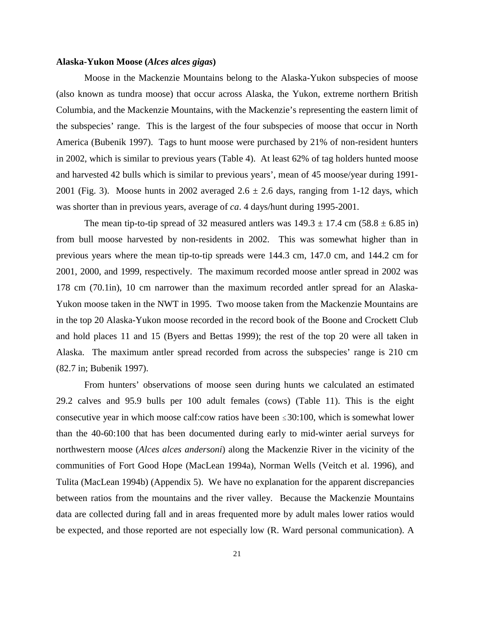#### **Alaska-Yukon Moose (***Alces alces gigas***)**

Moose in the Mackenzie Mountains belong to the Alaska-Yukon subspecies of moose (also known as tundra moose) that occur across Alaska, the Yukon, extreme northern British Columbia, and the Mackenzie Mountains, with the Mackenzie's representing the eastern limit of the subspecies' range. This is the largest of the four subspecies of moose that occur in North America (Bubenik 1997). Tags to hunt moose were purchased by 21% of non-resident hunters in 2002, which is similar to previous years (Table 4). At least 62% of tag holders hunted moose and harvested 42 bulls which is similar to previous years', mean of 45 moose/year during 1991- 2001 (Fig. 3). Moose hunts in 2002 averaged  $2.6 \pm 2.6$  days, ranging from 1-12 days, which was shorter than in previous years, average of *ca*. 4 days/hunt during 1995-2001.

The mean tip-to-tip spread of 32 measured antlers was  $149.3 \pm 17.4$  cm  $(58.8 \pm 6.85 \text{ in})$ from bull moose harvested by non-residents in 2002. This was somewhat higher than in previous years where the mean tip-to-tip spreads were 144.3 cm, 147.0 cm, and 144.2 cm for 2001, 2000, and 1999, respectively. The maximum recorded moose antler spread in 2002 was 178 cm (70.1in), 10 cm narrower than the maximum recorded antler spread for an Alaska-Yukon moose taken in the NWT in 1995. Two moose taken from the Mackenzie Mountains are in the top 20 Alaska-Yukon moose recorded in the record book of the Boone and Crockett Club and hold places 11 and 15 (Byers and Bettas 1999); the rest of the top 20 were all taken in Alaska. The maximum antler spread recorded from across the subspecies' range is 210 cm (82.7 in; Bubenik 1997).

 From hunters' observations of moose seen during hunts we calculated an estimated 29.2 calves and 95.9 bulls per 100 adult females (cows) (Table 11). This is the eight consecutive year in which moose calf:cow ratios have been  $\leq 30:100$ , which is somewhat lower than the 40-60:100 that has been documented during early to mid-winter aerial surveys for northwestern moose (*Alces alces andersoni*) along the Mackenzie River in the vicinity of the communities of Fort Good Hope (MacLean 1994a), Norman Wells (Veitch et al. 1996), and Tulita (MacLean 1994b) (Appendix 5). We have no explanation for the apparent discrepancies between ratios from the mountains and the river valley. Because the Mackenzie Mountains data are collected during fall and in areas frequented more by adult males lower ratios would be expected, and those reported are not especially low (R. Ward personal communication). A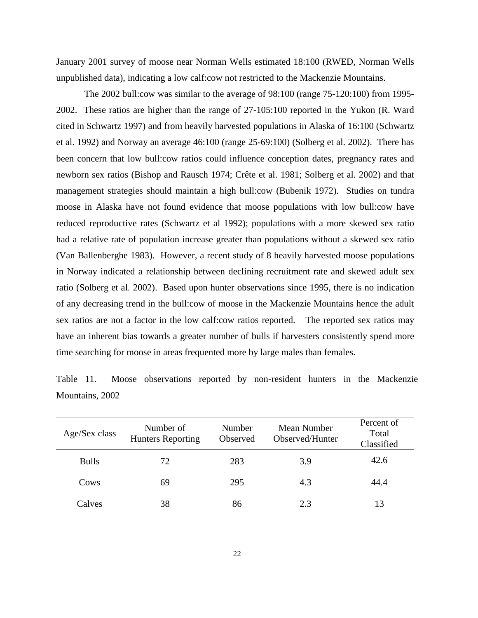January 2001 survey of moose near Norman Wells estimated 18:100 (RWED, Norman Wells unpublished data), indicating a low calf:cow not restricted to the Mackenzie Mountains.

 The 2002 bull:cow was similar to the average of 98:100 (range 75-120:100) from 1995- 2002. These ratios are higher than the range of 27-105:100 reported in the Yukon (R. Ward cited in Schwartz 1997) and from heavily harvested populations in Alaska of 16:100 (Schwartz et al. 1992) and Norway an average 46:100 (range 25-69:100) (Solberg et al. 2002). There has been concern that low bull:cow ratios could influence conception dates, pregnancy rates and newborn sex ratios (Bishop and Rausch 1974; Crête et al. 1981; Solberg et al. 2002) and that management strategies should maintain a high bull:cow (Bubenik 1972). Studies on tundra moose in Alaska have not found evidence that moose populations with low bull:cow have reduced reproductive rates (Schwartz et al 1992); populations with a more skewed sex ratio had a relative rate of population increase greater than populations without a skewed sex ratio (Van Ballenberghe 1983). However, a recent study of 8 heavily harvested moose populations in Norway indicated a relationship between declining recruitment rate and skewed adult sex ratio (Solberg et al. 2002). Based upon hunter observations since 1995, there is no indication of any decreasing trend in the bull:cow of moose in the Mackenzie Mountains hence the adult sex ratios are not a factor in the low calf:cow ratios reported. The reported sex ratios may have an inherent bias towards a greater number of bulls if harvesters consistently spend more time searching for moose in areas frequented more by large males than females.

| Age/Sex class | Number of<br><b>Hunters Reporting</b> | Number<br>Observed | Mean Number<br>Observed/Hunter | Percent of<br>Total<br>Classified |
|---------------|---------------------------------------|--------------------|--------------------------------|-----------------------------------|
| <b>Bulls</b>  | 72                                    | 283                | 3.9                            | 42.6                              |
| Cows          | 69                                    | 295                | 4.3                            | 44.4                              |
| Calves        | 38                                    | 86                 | 2.3                            | 13                                |

Table 11. Moose observations reported by non-resident hunters in the Mackenzie Mountains, 2002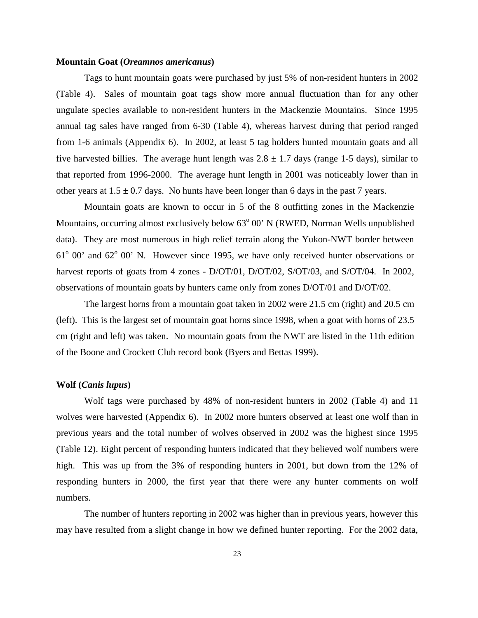#### **Mountain Goat (***Oreamnos americanus***)**

Tags to hunt mountain goats were purchased by just 5% of non-resident hunters in 2002 (Table 4). Sales of mountain goat tags show more annual fluctuation than for any other ungulate species available to non-resident hunters in the Mackenzie Mountains. Since 1995 annual tag sales have ranged from 6-30 (Table 4), whereas harvest during that period ranged from 1-6 animals (Appendix 6). In 2002, at least 5 tag holders hunted mountain goats and all five harvested billies. The average hunt length was  $2.8 \pm 1.7$  days (range 1-5 days), similar to that reported from 1996-2000. The average hunt length in 2001 was noticeably lower than in other years at  $1.5 \pm 0.7$  days. No hunts have been longer than 6 days in the past 7 years.

Mountain goats are known to occur in 5 of the 8 outfitting zones in the Mackenzie Mountains, occurring almost exclusively below  $63^{\circ}$  00' N (RWED, Norman Wells unpublished data). They are most numerous in high relief terrain along the Yukon-NWT border between  $61^{\circ}$  00' and  $62^{\circ}$  00' N. However since 1995, we have only received hunter observations or harvest reports of goats from 4 zones - D/OT/01, D/OT/02, S/OT/03, and S/OT/04. In 2002, observations of mountain goats by hunters came only from zones D/OT/01 and D/OT/02.

The largest horns from a mountain goat taken in 2002 were 21.5 cm (right) and 20.5 cm (left). This is the largest set of mountain goat horns since 1998, when a goat with horns of 23.5 cm (right and left) was taken. No mountain goats from the NWT are listed in the 11th edition of the Boone and Crockett Club record book (Byers and Bettas 1999).

#### **Wolf (***Canis lupus***)**

Wolf tags were purchased by 48% of non-resident hunters in 2002 (Table 4) and 11 wolves were harvested (Appendix 6). In 2002 more hunters observed at least one wolf than in previous years and the total number of wolves observed in 2002 was the highest since 1995 (Table 12). Eight percent of responding hunters indicated that they believed wolf numbers were high. This was up from the 3% of responding hunters in 2001, but down from the 12% of responding hunters in 2000, the first year that there were any hunter comments on wolf numbers.

The number of hunters reporting in 2002 was higher than in previous years, however this may have resulted from a slight change in how we defined hunter reporting. For the 2002 data,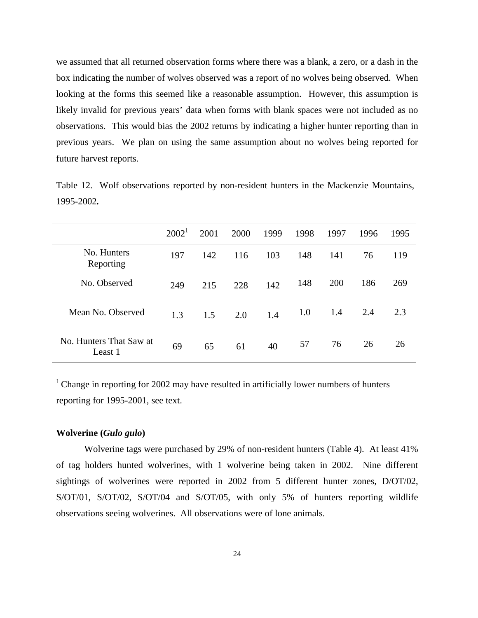we assumed that all returned observation forms where there was a blank, a zero, or a dash in the box indicating the number of wolves observed was a report of no wolves being observed. When looking at the forms this seemed like a reasonable assumption. However, this assumption is likely invalid for previous years' data when forms with blank spaces were not included as no observations. This would bias the 2002 returns by indicating a higher hunter reporting than in previous years. We plan on using the same assumption about no wolves being reported for future harvest reports.

Table 12. Wolf observations reported by non-resident hunters in the Mackenzie Mountains, 1995-2002*.*

|                                    | $2002^1$ | 2001 | 2000 | 1999 | 1998 | 1997 | 1996 | 1995 |
|------------------------------------|----------|------|------|------|------|------|------|------|
| No. Hunters<br>Reporting           | 197      | 142  | 116  | 103  | 148  | 141  | 76   | 119  |
| No. Observed                       | 249      | 215  | 228  | 142  | 148  | 200  | 186  | 269  |
| Mean No. Observed                  | 1.3      | 1.5  | 2.0  | 1.4  | 1.0  | 1.4  | 2.4  | 2.3  |
| No. Hunters That Saw at<br>Least 1 | 69       | 65   | 61   | 40   | 57   | 76   | 26   | 26   |

 $1$  Change in reporting for 2002 may have resulted in artificially lower numbers of hunters reporting for 1995-2001, see text.

#### **Wolverine (***Gulo gulo***)**

Wolverine tags were purchased by 29% of non-resident hunters (Table 4). At least 41% of tag holders hunted wolverines, with 1 wolverine being taken in 2002. Nine different sightings of wolverines were reported in 2002 from 5 different hunter zones, D/OT/02, S/OT/01, S/OT/02, S/OT/04 and S/OT/05, with only 5% of hunters reporting wildlife observations seeing wolverines. All observations were of lone animals.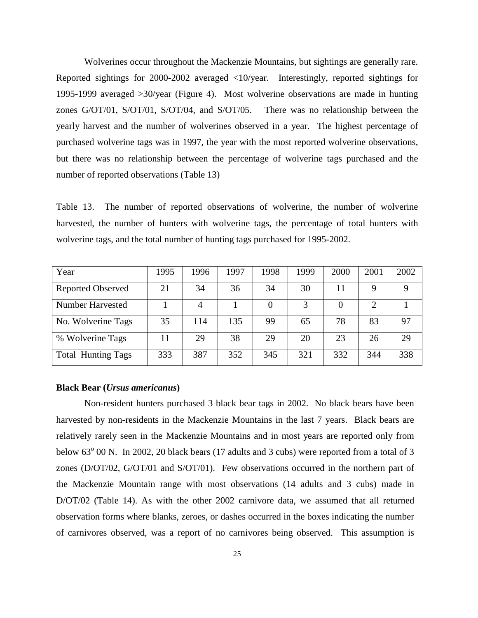Wolverines occur throughout the Mackenzie Mountains, but sightings are generally rare. Reported sightings for 2000-2002 averaged <10/year. Interestingly, reported sightings for 1995-1999 averaged >30/year (Figure 4). Most wolverine observations are made in hunting zones G/OT/01, S/OT/01, S/OT/04, and S/OT/05. There was no relationship between the yearly harvest and the number of wolverines observed in a year. The highest percentage of purchased wolverine tags was in 1997, the year with the most reported wolverine observations, but there was no relationship between the percentage of wolverine tags purchased and the number of reported observations (Table 13)

Table 13. The number of reported observations of wolverine, the number of wolverine harvested, the number of hunters with wolverine tags, the percentage of total hunters with wolverine tags, and the total number of hunting tags purchased for 1995-2002.

| Year                      | 1995 | 1996 | 1997 | 1998 | 1999 | 2000 | 2001 | 2002 |
|---------------------------|------|------|------|------|------|------|------|------|
| <b>Reported Observed</b>  | 21   | 34   | 36   | 34   | 30   | 11   |      | Q    |
| Number Harvested          |      |      |      |      |      |      |      |      |
| No. Wolverine Tags        | 35   | 114  | 135  | 99   | 65   | 78   | 83   | 97   |
| % Wolverine Tags          | 11   | 29   | 38   | 29   | 20   | 23   | 26   | 29   |
| <b>Total Hunting Tags</b> | 333  | 387  | 352  | 345  | 321  | 332  | 344  | 338  |

#### **Black Bear (***Ursus americanus***)**

Non-resident hunters purchased 3 black bear tags in 2002. No black bears have been harvested by non-residents in the Mackenzie Mountains in the last 7 years. Black bears are relatively rarely seen in the Mackenzie Mountains and in most years are reported only from below 63<sup>°</sup> 00 N. In 2002, 20 black bears (17 adults and 3 cubs) were reported from a total of 3 zones (D/OT/02, G/OT/01 and S/OT/01). Few observations occurred in the northern part of the Mackenzie Mountain range with most observations (14 adults and 3 cubs) made in D/OT/02 (Table 14). As with the other 2002 carnivore data, we assumed that all returned observation forms where blanks, zeroes, or dashes occurred in the boxes indicating the number of carnivores observed, was a report of no carnivores being observed. This assumption is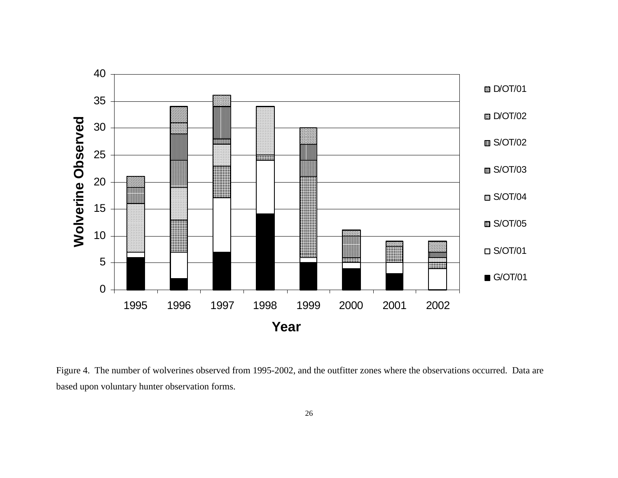

Figure 4. The number of wolverines observed from 1995-2002, and the outfitter zones where the observations occurred. Data are based upon voluntary hunter observation forms.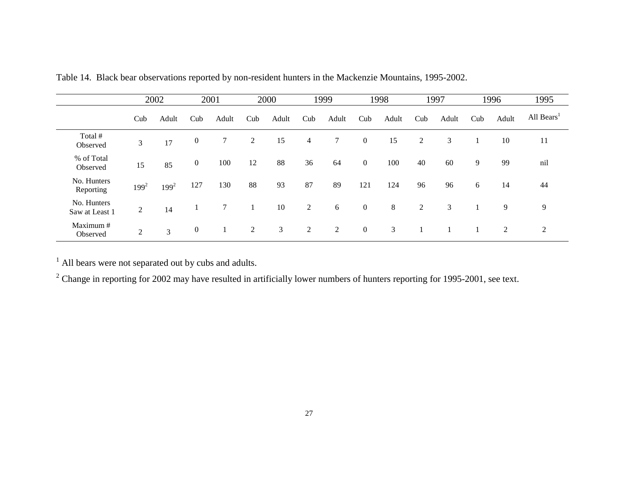|                               |                | 2002    |                | 2001  |     | 2000  |     | 1999  |                | 1998  |     | 1997  |     | 1996  | 1995                   |
|-------------------------------|----------------|---------|----------------|-------|-----|-------|-----|-------|----------------|-------|-----|-------|-----|-------|------------------------|
|                               | Cub            | Adult   | Cub            | Adult | Cub | Adult | Cub | Adult | Cub            | Adult | Cub | Adult | Cub | Adult | All Bears <sup>1</sup> |
| Total #<br>Observed           | 3              | 17      | $\mathbf{0}$   | 7     | 2   | 15    | 4   | 7     | $\overline{0}$ | 15    | 2   | 3     |     | 10    | 11                     |
| % of Total<br>Observed        | 15             | 85      | $\overline{0}$ | 100   | 12  | 88    | 36  | 64    | $\overline{0}$ | 100   | 40  | 60    | 9   | 99    | nil                    |
| No. Hunters<br>Reporting      | $199^2$        | $199^2$ | 127            | 130   | 88  | 93    | 87  | 89    | 121            | 124   | 96  | 96    | 6   | 14    | 44                     |
| No. Hunters<br>Saw at Least 1 | $\overline{c}$ | 14      |                | 7     |     | 10    | 2   | 6     | $\overline{0}$ | 8     | 2   | 3     |     | 9     | 9                      |
| Maximum #<br>Observed         | $\overline{c}$ | 3       | $\mathbf{0}$   |       | 2   | 3     | 2   | 2     | $\overline{0}$ | 3     |     |       |     | 2     | 2                      |

Table 14. Black bear observations reported by non-resident hunters in the Mackenzie Mountains, 1995-2002.

<sup>1</sup> All bears were not separated out by cubs and adults.

 $2$  Change in reporting for 2002 may have resulted in artificially lower numbers of hunters reporting for 1995-2001, see text.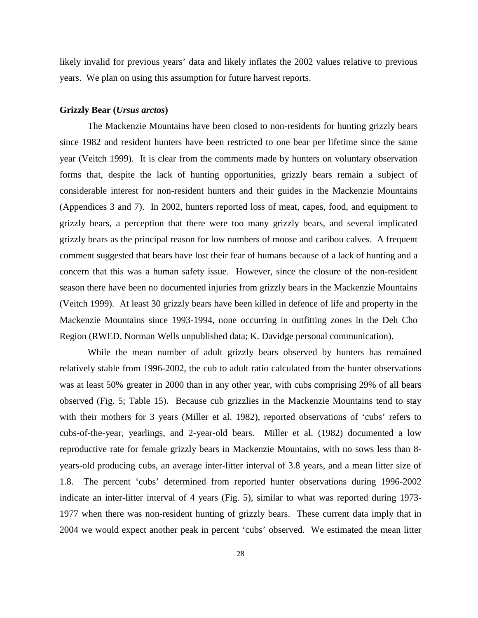likely invalid for previous years' data and likely inflates the 2002 values relative to previous years. We plan on using this assumption for future harvest reports.

#### **Grizzly Bear (***Ursus arctos***)**

The Mackenzie Mountains have been closed to non-residents for hunting grizzly bears since 1982 and resident hunters have been restricted to one bear per lifetime since the same year (Veitch 1999). It is clear from the comments made by hunters on voluntary observation forms that, despite the lack of hunting opportunities, grizzly bears remain a subject of considerable interest for non-resident hunters and their guides in the Mackenzie Mountains (Appendices 3 and 7). In 2002, hunters reported loss of meat, capes, food, and equipment to grizzly bears, a perception that there were too many grizzly bears, and several implicated grizzly bears as the principal reason for low numbers of moose and caribou calves. A frequent comment suggested that bears have lost their fear of humans because of a lack of hunting and a concern that this was a human safety issue. However, since the closure of the non-resident season there have been no documented injuries from grizzly bears in the Mackenzie Mountains (Veitch 1999). At least 30 grizzly bears have been killed in defence of life and property in the Mackenzie Mountains since 1993-1994, none occurring in outfitting zones in the Deh Cho Region (RWED, Norman Wells unpublished data; K. Davidge personal communication).

While the mean number of adult grizzly bears observed by hunters has remained relatively stable from 1996-2002, the cub to adult ratio calculated from the hunter observations was at least 50% greater in 2000 than in any other year, with cubs comprising 29% of all bears observed (Fig. 5; Table 15). Because cub grizzlies in the Mackenzie Mountains tend to stay with their mothers for 3 years (Miller et al. 1982), reported observations of 'cubs' refers to cubs-of-the-year, yearlings, and 2-year-old bears. Miller et al. (1982) documented a low reproductive rate for female grizzly bears in Mackenzie Mountains, with no sows less than 8 years-old producing cubs, an average inter-litter interval of 3.8 years, and a mean litter size of 1.8. The percent 'cubs' determined from reported hunter observations during 1996-2002 indicate an inter-litter interval of 4 years (Fig. 5), similar to what was reported during 1973- 1977 when there was non-resident hunting of grizzly bears. These current data imply that in 2004 we would expect another peak in percent 'cubs' observed. We estimated the mean litter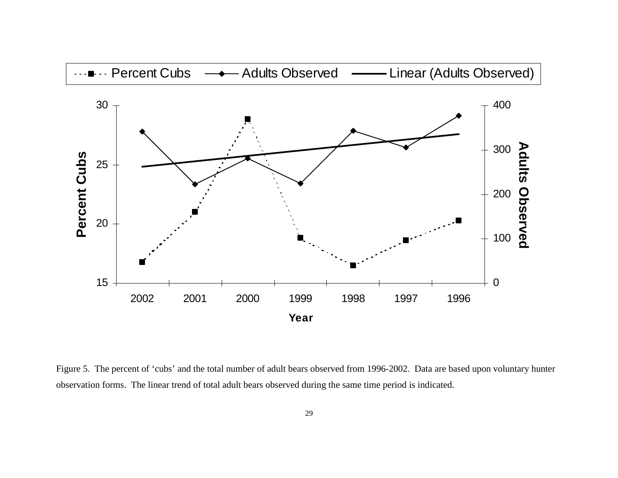

Figure 5. The percent of 'cubs' and the total number of adult bears observed from 1996-2002. Data are based upon voluntary hunter observation forms. The linear trend of total adult bears observed during the same time period is indicated.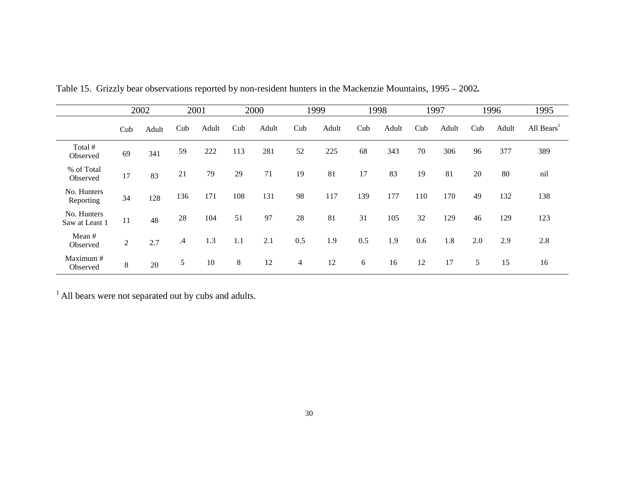|                               |     | 2002  |           | 2001  |     | 2000  |                | 1999  |     | 1998  |     | 1997  |     | 1996  | 1995                   |
|-------------------------------|-----|-------|-----------|-------|-----|-------|----------------|-------|-----|-------|-----|-------|-----|-------|------------------------|
|                               | Cub | Adult | Cub       | Adult | Cub | Adult | Cub            | Adult | Cub | Adult | Cub | Adult | Cub | Adult | All Bears <sup>1</sup> |
| Total #<br>Observed           | 69  | 341   | 59        | 222   | 113 | 281   | 52             | 225   | 68  | 343   | 70  | 306   | 96  | 377   | 389                    |
| % of Total<br>Observed        | 17  | 83    | 21        | 79    | 29  | 71    | 19             | 81    | 17  | 83    | 19  | 81    | 20  | 80    | nil                    |
| No. Hunters<br>Reporting      | 34  | 128   | 136       | 171   | 108 | 131   | 98             | 117   | 139 | 177   | 110 | 170   | 49  | 132   | 138                    |
| No. Hunters<br>Saw at Least 1 | 11  | 48    | 28        | 104   | 51  | 97    | 28             | 81    | 31  | 105   | 32  | 129   | 46  | 129   | 123                    |
| Mean $#$<br>Observed          | 2   | 2.7   | $\cdot$ 4 | 1.3   | 1.1 | 2.1   | 0.5            | 1.9   | 0.5 | 1.9   | 0.6 | 1.8   | 2.0 | 2.9   | 2.8                    |
| Maximum #<br>Observed         | 8   | 20    | 5         | 10    | 8   | 12    | $\overline{4}$ | 12    | 6   | 16    | 12  | 17    | 5   | 15    | 16                     |

Table 15. Grizzly bear observations reported by non-resident hunters in the Mackenzie Mountains, 1995 – 2002*.*

 $<sup>1</sup>$  All bears were not separated out by cubs and adults.</sup>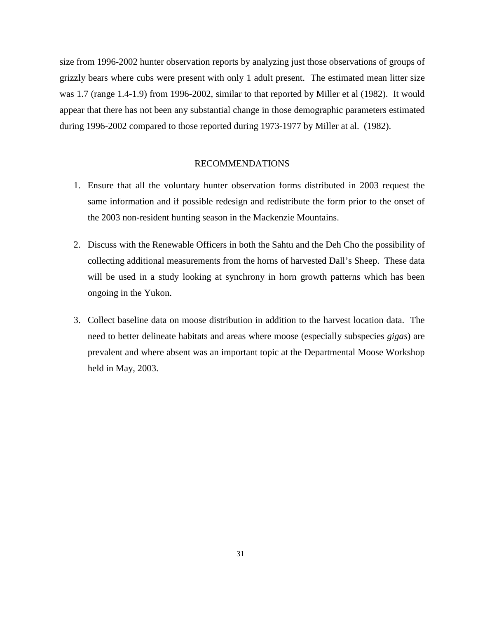size from 1996-2002 hunter observation reports by analyzing just those observations of groups of grizzly bears where cubs were present with only 1 adult present. The estimated mean litter size was 1.7 (range 1.4-1.9) from 1996-2002, similar to that reported by Miller et al (1982). It would appear that there has not been any substantial change in those demographic parameters estimated during 1996-2002 compared to those reported during 1973-1977 by Miller at al. (1982).

#### RECOMMENDATIONS

- 1. Ensure that all the voluntary hunter observation forms distributed in 2003 request the same information and if possible redesign and redistribute the form prior to the onset of the 2003 non-resident hunting season in the Mackenzie Mountains.
- 2. Discuss with the Renewable Officers in both the Sahtu and the Deh Cho the possibility of collecting additional measurements from the horns of harvested Dall's Sheep. These data will be used in a study looking at synchrony in horn growth patterns which has been ongoing in the Yukon.
- 3. Collect baseline data on moose distribution in addition to the harvest location data. The need to better delineate habitats and areas where moose (especially subspecies *gigas*) are prevalent and where absent was an important topic at the Departmental Moose Workshop held in May, 2003.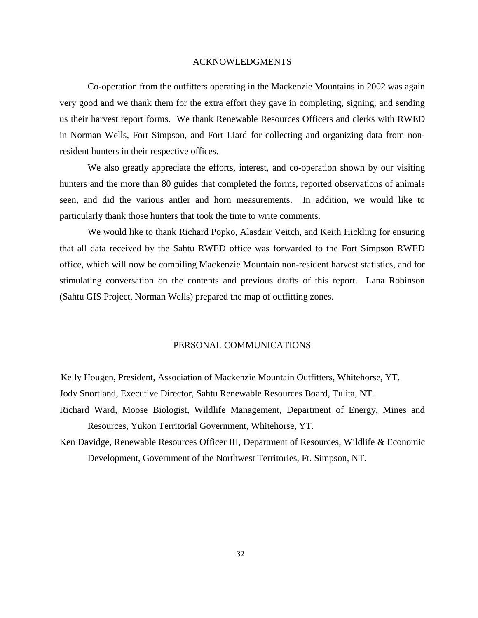#### ACKNOWLEDGMENTS

Co-operation from the outfitters operating in the Mackenzie Mountains in 2002 was again very good and we thank them for the extra effort they gave in completing, signing, and sending us their harvest report forms. We thank Renewable Resources Officers and clerks with RWED in Norman Wells, Fort Simpson, and Fort Liard for collecting and organizing data from nonresident hunters in their respective offices.

We also greatly appreciate the efforts, interest, and co-operation shown by our visiting hunters and the more than 80 guides that completed the forms, reported observations of animals seen, and did the various antler and horn measurements. In addition, we would like to particularly thank those hunters that took the time to write comments.

 We would like to thank Richard Popko, Alasdair Veitch, and Keith Hickling for ensuring that all data received by the Sahtu RWED office was forwarded to the Fort Simpson RWED office, which will now be compiling Mackenzie Mountain non-resident harvest statistics, and for stimulating conversation on the contents and previous drafts of this report. Lana Robinson (Sahtu GIS Project, Norman Wells) prepared the map of outfitting zones.

#### PERSONAL COMMUNICATIONS

Kelly Hougen, President, Association of Mackenzie Mountain Outfitters, Whitehorse, YT.

Jody Snortland, Executive Director, Sahtu Renewable Resources Board, Tulita, NT.

- Richard Ward, Moose Biologist, Wildlife Management, Department of Energy, Mines and Resources, Yukon Territorial Government, Whitehorse, YT.
- Ken Davidge, Renewable Resources Officer III, Department of Resources, Wildlife & Economic Development, Government of the Northwest Territories, Ft. Simpson, NT.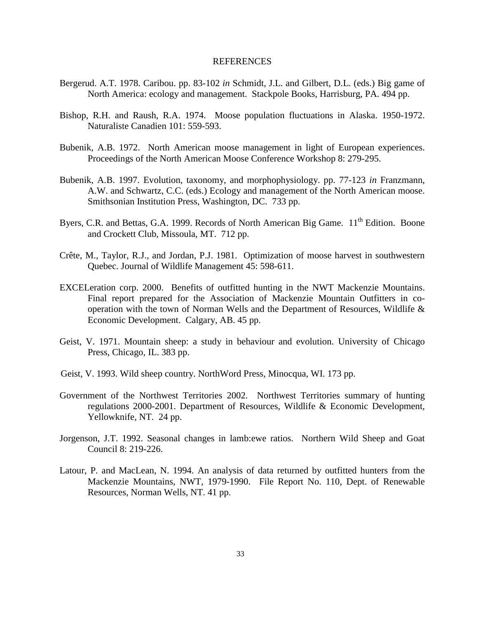#### REFERENCES

- Bergerud. A.T. 1978. Caribou. pp. 83-102 *in* Schmidt, J.L. and Gilbert, D.L. (eds.) Big game of North America: ecology and management. Stackpole Books, Harrisburg, PA. 494 pp.
- Bishop, R.H. and Raush, R.A. 1974. Moose population fluctuations in Alaska. 1950-1972. Naturaliste Canadien 101: 559-593.
- Bubenik, A.B. 1972. North American moose management in light of European experiences. Proceedings of the North American Moose Conference Workshop 8: 279-295.
- Bubenik, A.B. 1997. Evolution, taxonomy, and morphophysiology. pp. 77-123 *in* Franzmann, A.W. and Schwartz, C.C. (eds.) Ecology and management of the North American moose. Smithsonian Institution Press, Washington, DC. 733 pp.
- Byers, C.R. and Bettas, G.A. 1999. Records of North American Big Game. 11<sup>th</sup> Edition. Boone and Crockett Club, Missoula, MT. 712 pp.
- Crête, M., Taylor, R.J., and Jordan, P.J. 1981. Optimization of moose harvest in southwestern Quebec. Journal of Wildlife Management 45: 598-611.
- EXCELeration corp. 2000. Benefits of outfitted hunting in the NWT Mackenzie Mountains. Final report prepared for the Association of Mackenzie Mountain Outfitters in cooperation with the town of Norman Wells and the Department of Resources, Wildlife & Economic Development. Calgary, AB. 45 pp.
- Geist, V. 1971. Mountain sheep: a study in behaviour and evolution. University of Chicago Press, Chicago, IL. 383 pp.
- Geist, V. 1993. Wild sheep country. NorthWord Press, Minocqua, WI. 173 pp.
- Government of the Northwest Territories 2002. Northwest Territories summary of hunting regulations 2000-2001. Department of Resources, Wildlife & Economic Development, Yellowknife, NT. 24 pp.
- Jorgenson, J.T. 1992. Seasonal changes in lamb:ewe ratios. Northern Wild Sheep and Goat Council 8: 219-226.
- Latour, P. and MacLean, N. 1994. An analysis of data returned by outfitted hunters from the Mackenzie Mountains, NWT, 1979-1990. File Report No. 110, Dept. of Renewable Resources, Norman Wells, NT. 41 pp.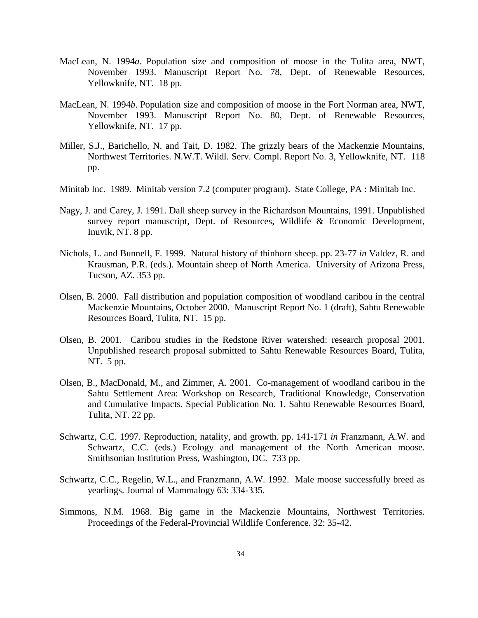- MacLean, N. 1994*a*. Population size and composition of moose in the Tulita area, NWT, November 1993. Manuscript Report No. 78, Dept. of Renewable Resources, Yellowknife, NT. 18 pp.
- MacLean, N. 1994*b*. Population size and composition of moose in the Fort Norman area, NWT, November 1993. Manuscript Report No. 80, Dept. of Renewable Resources, Yellowknife, NT. 17 pp.
- Miller, S.J., Barichello, N. and Tait, D. 1982. The grizzly bears of the Mackenzie Mountains, Northwest Territories. N.W.T. Wildl. Serv. Compl. Report No. 3, Yellowknife, NT. 118 pp.
- Minitab Inc. 1989. Minitab version 7.2 (computer program). State College, PA : Minitab Inc.
- Nagy, J. and Carey, J. 1991. Dall sheep survey in the Richardson Mountains, 1991. Unpublished survey report manuscript, Dept. of Resources, Wildlife & Economic Development, Inuvik, NT. 8 pp.
- Nichols, L. and Bunnell, F. 1999. Natural history of thinhorn sheep. pp. 23-77 *in* Valdez, R. and Krausman, P.R. (eds.). Mountain sheep of North America. University of Arizona Press, Tucson, AZ. 353 pp.
- Olsen, B. 2000. Fall distribution and population composition of woodland caribou in the central Mackenzie Mountains, October 2000. Manuscript Report No. 1 (draft), Sahtu Renewable Resources Board, Tulita, NT. 15 pp.
- Olsen, B. 2001. Caribou studies in the Redstone River watershed: research proposal 2001. Unpublished research proposal submitted to Sahtu Renewable Resources Board, Tulita, NT. 5 pp.
- Olsen, B., MacDonald, M., and Zimmer, A. 2001. Co-management of woodland caribou in the Sahtu Settlement Area: Workshop on Research, Traditional Knowledge, Conservation and Cumulative Impacts. Special Publication No. 1, Sahtu Renewable Resources Board, Tulita, NT. 22 pp.
- Schwartz, C.C. 1997. Reproduction, natality, and growth. pp. 141-171 *in* Franzmann, A.W. and Schwartz, C.C. (eds.) Ecology and management of the North American moose. Smithsonian Institution Press, Washington, DC. 733 pp.
- Schwartz, C.C., Regelin, W.L., and Franzmann, A.W. 1992. Male moose successfully breed as yearlings. Journal of Mammalogy 63: 334-335.
- Simmons, N.M. 1968. Big game in the Mackenzie Mountains, Northwest Territories. Proceedings of the Federal-Provincial Wildlife Conference. 32: 35-42.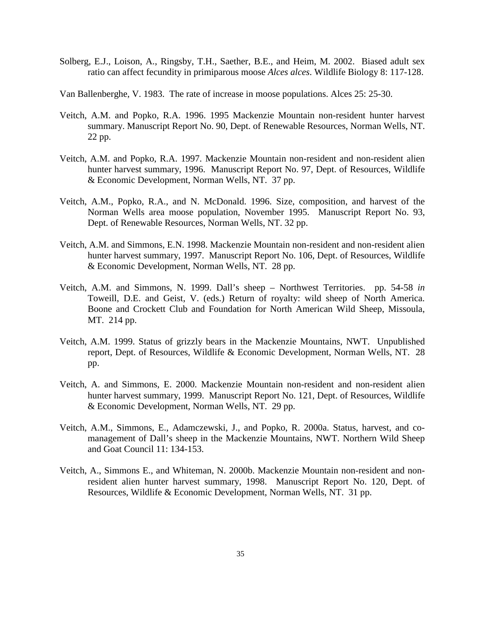- Solberg, E.J., Loison, A., Ringsby, T.H., Saether, B.E., and Heim, M. 2002. Biased adult sex ratio can affect fecundity in primiparous moose *Alces alces*. Wildlife Biology 8: 117-128.
- Van Ballenberghe, V. 1983. The rate of increase in moose populations. Alces 25: 25-30.
- Veitch, A.M. and Popko, R.A. 1996. 1995 Mackenzie Mountain non-resident hunter harvest summary. Manuscript Report No. 90, Dept. of Renewable Resources, Norman Wells, NT. 22 pp.
- Veitch, A.M. and Popko, R.A. 1997. Mackenzie Mountain non-resident and non-resident alien hunter harvest summary, 1996. Manuscript Report No. 97, Dept. of Resources, Wildlife & Economic Development, Norman Wells, NT. 37 pp.
- Veitch, A.M., Popko, R.A., and N. McDonald. 1996. Size, composition, and harvest of the Norman Wells area moose population, November 1995. Manuscript Report No. 93, Dept. of Renewable Resources, Norman Wells, NT. 32 pp.
- Veitch, A.M. and Simmons, E.N. 1998. Mackenzie Mountain non-resident and non-resident alien hunter harvest summary, 1997. Manuscript Report No. 106, Dept. of Resources, Wildlife & Economic Development, Norman Wells, NT. 28 pp.
- Veitch, A.M. and Simmons, N. 1999. Dall's sheep Northwest Territories. pp. 54-58 *in* Toweill, D.E. and Geist, V. (eds.) Return of royalty: wild sheep of North America. Boone and Crockett Club and Foundation for North American Wild Sheep, Missoula, MT. 214 pp.
- Veitch, A.M. 1999. Status of grizzly bears in the Mackenzie Mountains, NWT. Unpublished report, Dept. of Resources, Wildlife & Economic Development, Norman Wells, NT. 28 pp.
- Veitch, A. and Simmons, E. 2000. Mackenzie Mountain non-resident and non-resident alien hunter harvest summary, 1999. Manuscript Report No. 121, Dept. of Resources, Wildlife & Economic Development, Norman Wells, NT. 29 pp.
- Veitch, A.M., Simmons, E., Adamczewski, J., and Popko, R. 2000a. Status, harvest, and comanagement of Dall's sheep in the Mackenzie Mountains, NWT. Northern Wild Sheep and Goat Council 11: 134-153.
- Veitch, A., Simmons E., and Whiteman, N. 2000b. Mackenzie Mountain non-resident and nonresident alien hunter harvest summary, 1998. Manuscript Report No. 120, Dept. of Resources, Wildlife & Economic Development, Norman Wells, NT. 31 pp.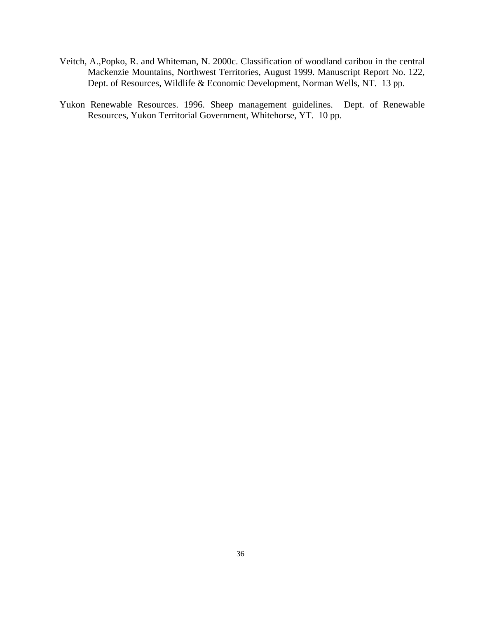- Veitch, A.,Popko, R. and Whiteman, N. 2000c. Classification of woodland caribou in the central Mackenzie Mountains, Northwest Territories, August 1999. Manuscript Report No. 122, Dept. of Resources, Wildlife & Economic Development, Norman Wells, NT. 13 pp.
- Yukon Renewable Resources. 1996. Sheep management guidelines. Dept. of Renewable Resources, Yukon Territorial Government, Whitehorse, YT. 10 pp.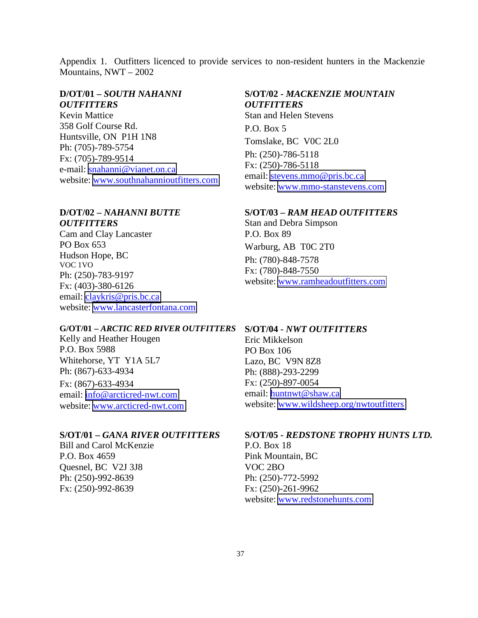Appendix 1. Outfitters licenced to provide services to non-resident hunters in the Mackenzie Mountains, NWT – 2002

## **D/OT/01** *– SOUTH NAHANNI OUTFITTERS*

Kevin Mattice 358 Golf Course Rd. Huntsville, ON P1H 1N8 Ph: (705)-789-5754 Fx: (705)-789-9514 e-mail: [snahanni@vianet.on.ca](mailto:snahanni@vianet.on.ca) website: [www.southnahannioutfitters.com](http://www.southnahannioutfitters.com/)

### **D/OT/02 –** *NAHANNI BUTTE*

*OUTFITTERS*  Cam and Clay Lancaster PO Box 653 Hudson Hope, BC VOC 1VO Ph: (250)-783-9197 Fx: (403)-380-6126 email: [claykris@pris.bc.ca](mailto:claykris@pris.bc.ca) website: [www.lancasterfontana.com](http://www.lancasterfontana.com/)

#### **G/OT/01 –** *ARCTIC RED RIVER OUTFITTERS*

Kelly and Heather Hougen P.O. Box 5988 Whitehorse, YT Y1A 5L7 Ph: (867)-633-4934 Fx: (867)-633-4934 email: [info@arcticred-nwt.com](mailto:info@arcticred-nwt.com) website: [www.arcticred-nwt.com](http://www.arcticred-nwt.com/)

### **S/OT/01 –** *GANA RIVER OUTFITTERS*

Bill and Carol McKenzie P.O. Box 4659 Quesnel, BC V2J 3J8 Ph: (250)-992-8639 Fx: (250)-992-8639

### **S/OT/02 -** *MACKENZIE MOUNTAIN OUTFITTERS*

Stan and Helen Stevens P.O. Box 5 Tomslake, BC V0C 2L0 Ph: (250)-786-5118 Fx: (250)-786-5118 email: [stevens.mmo@pris.bc.ca](mailto:stevens.mmo@pris.bc.ca) website: [www.mmo-stanstevens.com](http://www.mmo-stanstevens.com/)

#### **S/OT/03 –** *RAM HEAD OUTFITTERS*

Stan and Debra Simpson P.O. Box 89 Warburg, AB T0C 2T0 Ph: (780)-848-7578 Fx: (780)-848-7550 website: [www.ramheadoutfitters.com](http://www.ramheadoutfitters.com/)

#### **S/OT/04 -** *NWT OUTFITTERS*

Eric Mikkelson PO Box 106 Lazo, BC V9N 8Z8 Ph: (888)-293-2299 Fx: (250)-897-0054 email: [huntnwt@shaw.ca](mailto:huntnwt@shaw.ca) website: [www.wildsheep.org/nwtoutfitters](http://www.wildsheep.org/nwtoutfitters)

#### **S/OT/05 -** *REDSTONE TROPHY HUNTS LTD.*

P.O. Box 18 Pink Mountain, BC VOC 2BO Ph: (250)-772-5992 Fx: (250)-261-9962 website: [www.redstonehunts.com](http://www.redstonehunts.com/)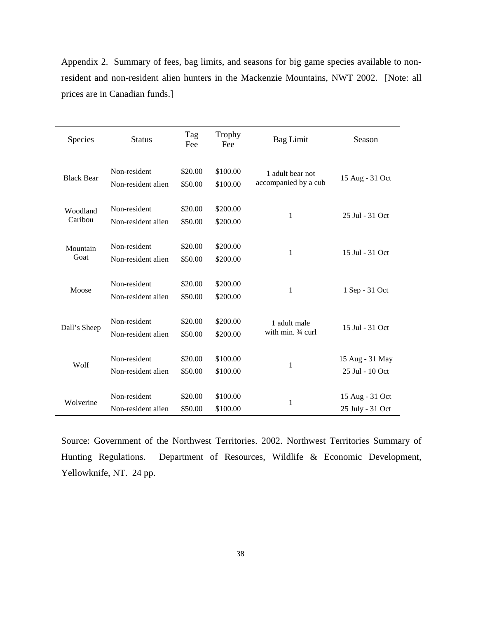Appendix 2. Summary of fees, bag limits, and seasons for big game species available to nonresident and non-resident alien hunters in the Mackenzie Mountains, NWT 2002. [Note: all prices are in Canadian funds.]

| Species             | <b>Status</b>                      | Tag<br>Fee         | <b>Trophy</b><br>Fee | <b>Bag Limit</b>                         | Season                              |
|---------------------|------------------------------------|--------------------|----------------------|------------------------------------------|-------------------------------------|
| <b>Black Bear</b>   | Non-resident<br>Non-resident alien | \$20.00<br>\$50.00 | \$100.00<br>\$100.00 | 1 adult bear not<br>accompanied by a cub | 15 Aug - 31 Oct                     |
| Woodland<br>Caribou | Non-resident<br>Non-resident alien | \$20.00<br>\$50.00 | \$200.00<br>\$200.00 | 1                                        | 25 Jul - 31 Oct                     |
| Mountain<br>Goat    | Non-resident<br>Non-resident alien | \$20.00<br>\$50.00 | \$200.00<br>\$200.00 | 1                                        | 15 Jul - 31 Oct                     |
| Moose               | Non-resident<br>Non-resident alien | \$20.00<br>\$50.00 | \$200.00<br>\$200.00 | $\mathbf{1}$                             | 1 Sep - 31 Oct                      |
| Dall's Sheep        | Non-resident<br>Non-resident alien | \$20.00<br>\$50.00 | \$200.00<br>\$200.00 | 1 adult male<br>with min. 3/4 curl       | 15 Jul - 31 Oct                     |
| Wolf                | Non-resident<br>Non-resident alien | \$20.00<br>\$50.00 | \$100.00<br>\$100.00 | $\mathbf{1}$                             | 15 Aug - 31 May<br>25 Jul - 10 Oct  |
| Wolverine           | Non-resident<br>Non-resident alien | \$20.00<br>\$50.00 | \$100.00<br>\$100.00 | 1                                        | 15 Aug - 31 Oct<br>25 July - 31 Oct |

Source: Government of the Northwest Territories. 2002. Northwest Territories Summary of Hunting Regulations. Department of Resources, Wildlife & Economic Development, Yellowknife, NT. 24 pp.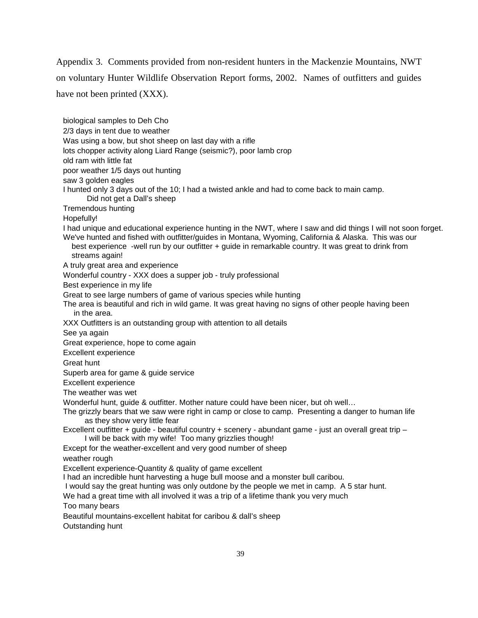Appendix 3. Comments provided from non-resident hunters in the Mackenzie Mountains, NWT on voluntary Hunter Wildlife Observation Report forms, 2002. Names of outfitters and guides have not been printed (XXX).

biological samples to Deh Cho 2/3 days in tent due to weather Was using a bow, but shot sheep on last day with a rifle lots chopper activity along Liard Range (seismic?), poor lamb crop old ram with little fat poor weather 1/5 days out hunting saw 3 golden eagles I hunted only 3 days out of the 10; I had a twisted ankle and had to come back to main camp. Did not get a Dall's sheep Tremendous hunting Hopefully! I had unique and educational experience hunting in the NWT, where I saw and did things I will not soon forget. We've hunted and fished with outfitter/guides in Montana, Wyoming, California & Alaska. This was our best experience -well run by our outfitter + guide in remarkable country. It was great to drink from streams again! A truly great area and experience Wonderful country - XXX does a supper job - truly professional Best experience in my life Great to see large numbers of game of various species while hunting The area is beautiful and rich in wild game. It was great having no signs of other people having been in the area. XXX Outfitters is an outstanding group with attention to all details See ya again Great experience, hope to come again Excellent experience Great hunt Superb area for game & guide service Excellent experience The weather was wet Wonderful hunt, guide & outfitter. Mother nature could have been nicer, but oh well… The grizzly bears that we saw were right in camp or close to camp. Presenting a danger to human life as they show very little fear Excellent outfitter + guide - beautiful country + scenery - abundant game - just an overall great trip – I will be back with my wife! Too many grizzlies though! Except for the weather-excellent and very good number of sheep weather rough Excellent experience-Quantity & quality of game excellent I had an incredible hunt harvesting a huge bull moose and a monster bull caribou. I would say the great hunting was only outdone by the people we met in camp. A 5 star hunt. We had a great time with all involved it was a trip of a lifetime thank you very much Too many bears Beautiful mountains-excellent habitat for caribou & dall's sheep Outstanding hunt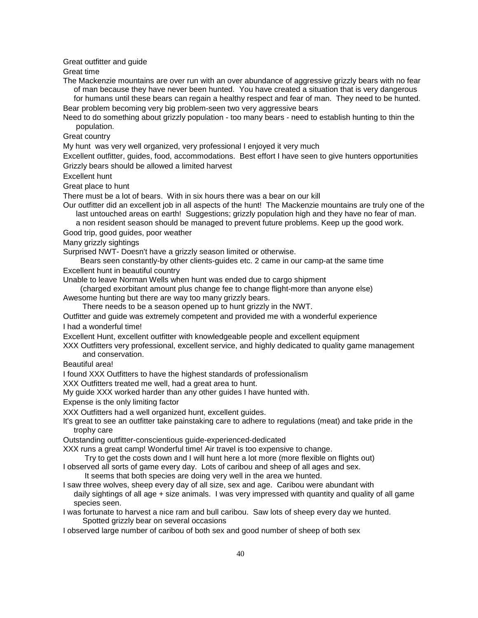Great outfitter and guide

Great time

The Mackenzie mountains are over run with an over abundance of aggressive grizzly bears with no fear of man because they have never been hunted. You have created a situation that is very dangerous

 for humans until these bears can regain a healthy respect and fear of man. They need to be hunted. Bear problem becoming very big problem-seen two very aggressive bears

Need to do something about grizzly population - too many bears - need to establish hunting to thin the population.

Great country

My hunt was very well organized, very professional I enjoyed it very much

Excellent outfitter, guides, food, accommodations. Best effort I have seen to give hunters opportunities Grizzly bears should be allowed a limited harvest

Excellent hunt

Great place to hunt

There must be a lot of bears. With in six hours there was a bear on our kill

Our outfitter did an excellent job in all aspects of the hunt! The Mackenzie mountains are truly one of the last untouched areas on earth! Suggestions; grizzly population high and they have no fear of man.

a non resident season should be managed to prevent future problems. Keep up the good work.

Good trip, good guides, poor weather

Many grizzly sightings

Surprised NWT- Doesn't have a grizzly season limited or otherwise.

 Bears seen constantly-by other clients-guides etc. 2 came in our camp-at the same time Excellent hunt in beautiful country

Unable to leave Norman Wells when hunt was ended due to cargo shipment

 (charged exorbitant amount plus change fee to change flight-more than anyone else) Awesome hunting but there are way too many grizzly bears.

There needs to be a season opened up to hunt grizzly in the NWT.

Outfitter and guide was extremely competent and provided me with a wonderful experience I had a wonderful time!

Excellent Hunt, excellent outfitter with knowledgeable people and excellent equipment

XXX Outfitters very professional, excellent service, and highly dedicated to quality game management and conservation.

Beautiful area!

I found XXX Outfitters to have the highest standards of professionalism

XXX Outfitters treated me well, had a great area to hunt.

My guide XXX worked harder than any other guides I have hunted with.

Expense is the only limiting factor

XXX Outfitters had a well organized hunt, excellent guides.

It's great to see an outfitter take painstaking care to adhere to regulations (meat) and take pride in the trophy care

Outstanding outfitter-conscientious guide-experienced-dedicated

XXX runs a great camp! Wonderful time! Air travel is too expensive to change.

Try to get the costs down and I will hunt here a lot more (more flexible on flights out)

I observed all sorts of game every day. Lots of caribou and sheep of all ages and sex. It seems that both species are doing very well in the area we hunted.

I saw three wolves, sheep every day of all size, sex and age. Caribou were abundant with daily sightings of all age + size animals. I was very impressed with quantity and quality of all game

species seen.

I was fortunate to harvest a nice ram and bull caribou. Saw lots of sheep every day we hunted. Spotted grizzly bear on several occasions

I observed large number of caribou of both sex and good number of sheep of both sex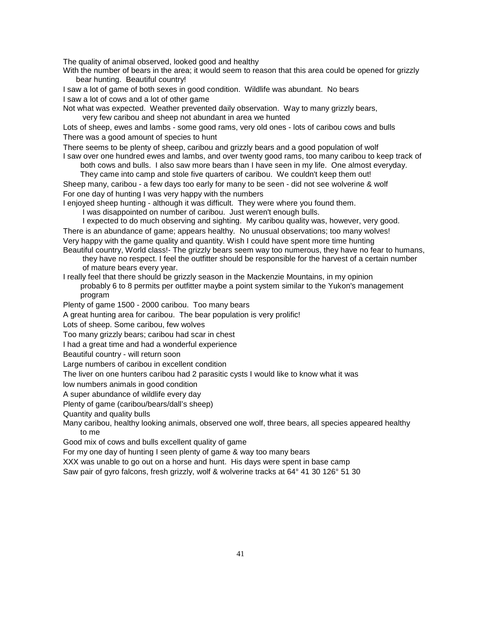The quality of animal observed, looked good and healthy

With the number of bears in the area; it would seem to reason that this area could be opened for grizzly bear hunting. Beautiful country!

I saw a lot of game of both sexes in good condition. Wildlife was abundant. No bears I saw a lot of cows and a lot of other game

Not what was expected. Weather prevented daily observation. Way to many grizzly bears, very few caribou and sheep not abundant in area we hunted

Lots of sheep, ewes and lambs - some good rams, very old ones - lots of caribou cows and bulls There was a good amount of species to hunt

There seems to be plenty of sheep, caribou and grizzly bears and a good population of wolf I saw over one hundred ewes and lambs, and over twenty good rams, too many caribou to keep track of

both cows and bulls. I also saw more bears than I have seen in my life. One almost everyday.

 They came into camp and stole five quarters of caribou. We couldn't keep them out! Sheep many, caribou - a few days too early for many to be seen - did not see wolverine & wolf For one day of hunting I was very happy with the numbers

I enjoyed sheep hunting - although it was difficult. They were where you found them.

I was disappointed on number of caribou. Just weren't enough bulls.

 I expected to do much observing and sighting. My caribou quality was, however, very good. There is an abundance of game; appears healthy. No unusual observations; too many wolves! Very happy with the game quality and quantity. Wish I could have spent more time hunting Beautiful country, World class!- The grizzly bears seem way too numerous, they have no fear to humans,

 they have no respect. I feel the outfitter should be responsible for the harvest of a certain number of mature bears every year.

I really feel that there should be grizzly season in the Mackenzie Mountains, in my opinion probably 6 to 8 permits per outfitter maybe a point system similar to the Yukon's management program

Plenty of game 1500 - 2000 caribou. Too many bears

A great hunting area for caribou. The bear population is very prolific!

Lots of sheep. Some caribou, few wolves

Too many grizzly bears; caribou had scar in chest

I had a great time and had a wonderful experience

Beautiful country - will return soon

Large numbers of caribou in excellent condition

The liver on one hunters caribou had 2 parasitic cysts I would like to know what it was

low numbers animals in good condition

A super abundance of wildlife every day

Plenty of game (caribou/bears/dall's sheep)

Quantity and quality bulls

Many caribou, healthy looking animals, observed one wolf, three bears, all species appeared healthy to me

Good mix of cows and bulls excellent quality of game

For my one day of hunting I seen plenty of game & way too many bears

XXX was unable to go out on a horse and hunt. His days were spent in base camp

Saw pair of gyro falcons, fresh grizzly, wolf & wolverine tracks at 64° 41 30 126° 51 30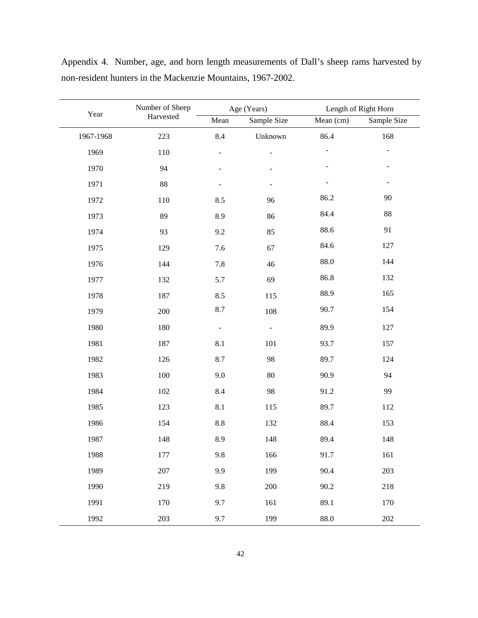|           | Number of Sheep |                | Age (Years)    | Length of Right Horn |             |  |  |
|-----------|-----------------|----------------|----------------|----------------------|-------------|--|--|
| Year      | Harvested       | Mean           | Sample Size    | Mean $(cm)$          | Sample Size |  |  |
| 1967-1968 | 223             | 8.4            | Unknown        | 86.4                 | 168         |  |  |
| 1969      | 110             | $\overline{a}$ | ÷              |                      |             |  |  |
| 1970      | 94              |                |                |                      |             |  |  |
| 1971      | 88              |                |                |                      |             |  |  |
| 1972      | 110             | 8.5            | 96             | 86.2                 | 90          |  |  |
| 1973      | 89              | 8.9            | 86             | 84.4                 | 88          |  |  |
| 1974      | 93              | 9.2            | 85             | 88.6                 | 91          |  |  |
| 1975      | 129             | 7.6            | 67             | 84.6                 | 127         |  |  |
| 1976      | 144             | 7.8            | 46             | 88.0                 | 144         |  |  |
| 1977      | 132             | 5.7            | 69             | 86.8                 | 132         |  |  |
| 1978      | 187             | 8.5            | 115            | 88.9                 | 165         |  |  |
| 1979      | 200             | 8.7            | 108            | 90.7                 | 154         |  |  |
| 1980      | 180             | $\Box$         | $\blacksquare$ | 89.9                 | 127         |  |  |
| 1981      | 187             | 8.1            | 101            | 93.7                 | 157         |  |  |
| 1982      | 126             | 8.7            | 98             | 89.7                 | 124         |  |  |
| 1983      | $100\,$         | 9.0            | $80\,$         | 90.9                 | 94          |  |  |
| 1984      | 102             | 8.4            | 98             | 91.2                 | 99          |  |  |
| 1985      | 123             | 8.1            | 115            | 89.7                 | 112         |  |  |
| 1986      | 154             | $8.8\,$        | 132            | 88.4                 | 153         |  |  |
| 1987      | 148             | 8.9            | 148            | 89.4                 | 148         |  |  |
| 1988      | 177             | 9.8            | 166            | 91.7                 | 161         |  |  |
| 1989      | 207             | 9.9            | 199            | 90.4                 | 203         |  |  |
| 1990      | 219             | 9.8            | 200            | 90.2                 | 218         |  |  |
| 1991      | 170             | 9.7            | 161            | 89.1                 | 170         |  |  |
| 1992      | 203             | 9.7            | 199            | 88.0                 | 202         |  |  |

Appendix 4. Number, age, and horn length measurements of Dall's sheep rams harvested by non-resident hunters in the Mackenzie Mountains, 1967-2002.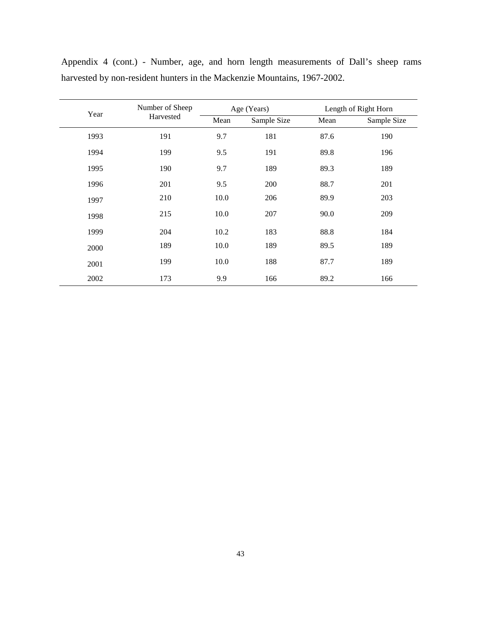| Year | Number of Sheep | Age (Years) |             | Length of Right Horn |             |  |
|------|-----------------|-------------|-------------|----------------------|-------------|--|
|      | Harvested       | Mean        | Sample Size | Mean                 | Sample Size |  |
| 1993 | 191             | 9.7         | 181         | 87.6                 | 190         |  |
| 1994 | 199             | 9.5         | 191         | 89.8                 | 196         |  |
| 1995 | 190             | 9.7         | 189         | 89.3                 | 189         |  |
| 1996 | 201             | 9.5         | 200         | 88.7                 | 201         |  |
| 1997 | 210             | 10.0        | 206         | 89.9                 | 203         |  |
| 1998 | 215             | 10.0        | 207         | 90.0                 | 209         |  |
| 1999 | 204             | 10.2        | 183         | 88.8                 | 184         |  |
| 2000 | 189             | 10.0        | 189         | 89.5                 | 189         |  |
| 2001 | 199             | 10.0        | 188         | 87.7                 | 189         |  |
| 2002 | 173             | 9.9         | 166         | 89.2                 | 166         |  |

Appendix 4 (cont.) - Number, age, and horn length measurements of Dall's sheep rams harvested by non-resident hunters in the Mackenzie Mountains, 1967-2002.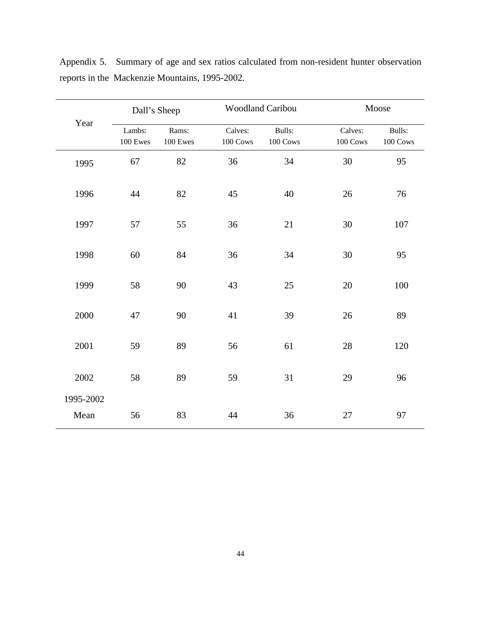| Year      | Dall's Sheep |          | <b>Woodland Caribou</b> |          | Moose    |          |  |
|-----------|--------------|----------|-------------------------|----------|----------|----------|--|
|           | Lambs:       | Rams:    | Calves:                 | Bulls:   | Calves:  | Bulls:   |  |
|           | 100 Ewes     | 100 Ewes | 100 Cows                | 100 Cows | 100 Cows | 100 Cows |  |
| 1995      | 67           | 82       | 36                      | 34       | 30       | 95       |  |
| 1996      | 44           | 82       | 45                      | 40       | $26\,$   | 76       |  |
| 1997      | 57           | 55       | 36                      | 21       | 30       | 107      |  |
| 1998      | 60           | 84       | 36                      | 34       | 30       | 95       |  |
| 1999      | 58           | 90       | 43                      | 25       | $20\,$   | 100      |  |
| 2000      | 47           | 90       | 41                      | 39       | 26       | 89       |  |
| 2001      | 59           | 89       | 56                      | 61       | 28       | 120      |  |
| 2002      | 58           | 89       | 59                      | 31       | 29       | 96       |  |
| 1995-2002 |              |          |                         |          |          |          |  |
| Mean      | 56           | 83       | 44                      | 36       | 27       | 97       |  |

Appendix 5. Summary of age and sex ratios calculated from non-resident hunter observation reports in the Mackenzie Mountains, 1995-2002.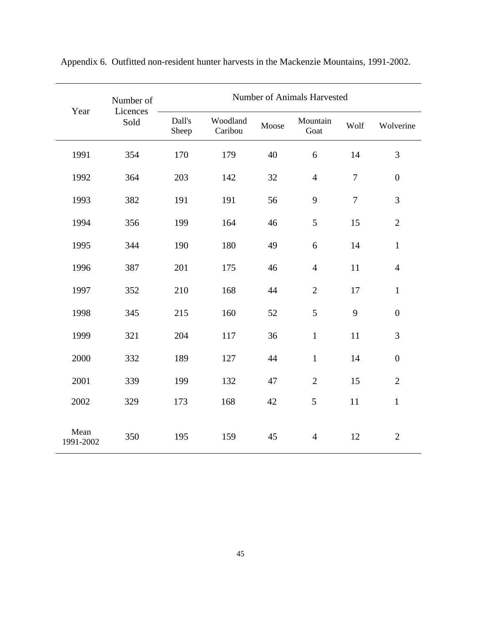| Year              | Number of        | <b>Number of Animals Harvested</b> |                     |       |                  |        |                  |  |
|-------------------|------------------|------------------------------------|---------------------|-------|------------------|--------|------------------|--|
|                   | Licences<br>Sold | Dall's<br>Sheep                    | Woodland<br>Caribou | Moose | Mountain<br>Goat | Wolf   | Wolverine        |  |
| 1991              | 354              | 170                                | 179                 | 40    | 6                | 14     | 3                |  |
| 1992              | 364              | 203                                | 142                 | 32    | $\overline{4}$   | $\tau$ | $\boldsymbol{0}$ |  |
| 1993              | 382              | 191                                | 191                 | 56    | 9                | $\tau$ | 3                |  |
| 1994              | 356              | 199                                | 164                 | 46    | 5                | 15     | $\overline{2}$   |  |
| 1995              | 344              | 190                                | 180                 | 49    | 6                | 14     | $\mathbf{1}$     |  |
| 1996              | 387              | 201                                | 175                 | 46    | $\overline{4}$   | 11     | $\overline{4}$   |  |
| 1997              | 352              | 210                                | 168                 | 44    | $\mathbf{2}$     | 17     | $\mathbf{1}$     |  |
| 1998              | 345              | 215                                | 160                 | 52    | 5                | 9      | $\boldsymbol{0}$ |  |
| 1999              | 321              | 204                                | 117                 | 36    | $\mathbf{1}$     | 11     | 3                |  |
| 2000              | 332              | 189                                | 127                 | 44    | $\mathbf{1}$     | 14     | $\boldsymbol{0}$ |  |
| 2001              | 339              | 199                                | 132                 | 47    | $\overline{2}$   | 15     | $\mathbf{2}$     |  |
| 2002              | 329              | 173                                | 168                 | 42    | 5                | 11     | $\mathbf{1}$     |  |
| Mean<br>1991-2002 | 350              | 195                                | 159                 | 45    | $\overline{4}$   | 12     | $\mathbf{2}$     |  |

Appendix 6. Outfitted non-resident hunter harvests in the Mackenzie Mountains, 1991-2002.